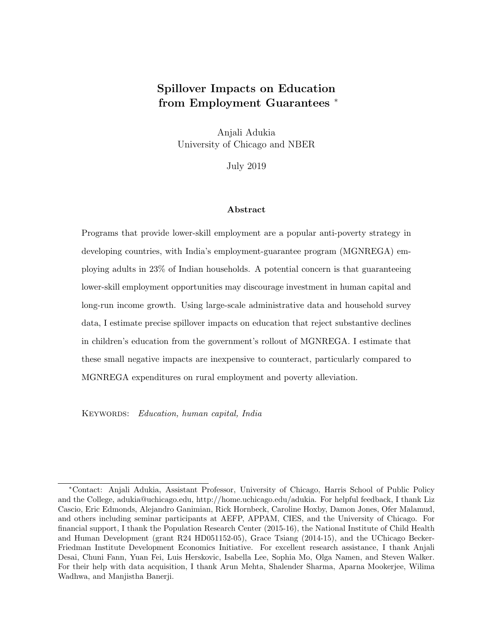# Spillover Impacts on Education from Employment Guarantees  $*$

Anjali Adukia University of Chicago and NBER

July 2019

#### Abstract

Programs that provide lower-skill employment are a popular anti-poverty strategy in developing countries, with India's employment-guarantee program (MGNREGA) employing adults in 23% of Indian households. A potential concern is that guaranteeing lower-skill employment opportunities may discourage investment in human capital and long-run income growth. Using large-scale administrative data and household survey data, I estimate precise spillover impacts on education that reject substantive declines in children's education from the government's rollout of MGNREGA. I estimate that these small negative impacts are inexpensive to counteract, particularly compared to MGNREGA expenditures on rural employment and poverty alleviation.

KEYWORDS: Education, human capital, India

<sup>∗</sup>Contact: Anjali Adukia, Assistant Professor, University of Chicago, Harris School of Public Policy and the College, adukia@uchicago.edu, http://home.uchicago.edu/adukia. For helpful feedback, I thank Liz Cascio, Eric Edmonds, Alejandro Ganimian, Rick Hornbeck, Caroline Hoxby, Damon Jones, Ofer Malamud, and others including seminar participants at AEFP, APPAM, CIES, and the University of Chicago. For financial support, I thank the Population Research Center (2015-16), the National Institute of Child Health and Human Development (grant R24 HD051152-05), Grace Tsiang (2014-15), and the UChicago Becker-Friedman Institute Development Economics Initiative. For excellent research assistance, I thank Anjali Desai, Chuni Fann, Yuan Fei, Luis Herskovic, Isabella Lee, Sophia Mo, Olga Namen, and Steven Walker. For their help with data acquisition, I thank Arun Mehta, Shalender Sharma, Aparna Mookerjee, Wilima Wadhwa, and Manjistha Banerji.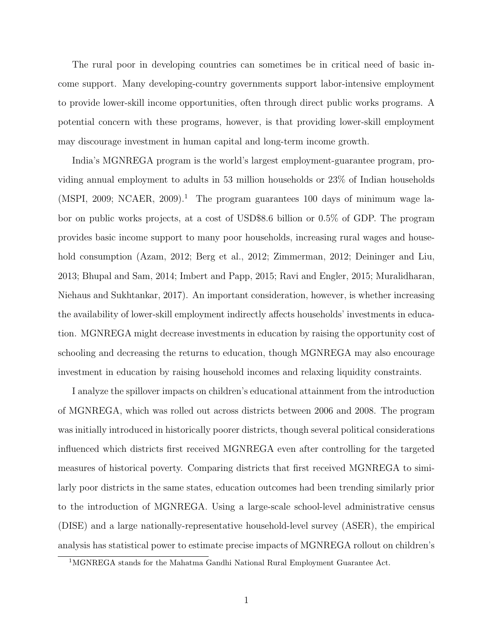The rural poor in developing countries can sometimes be in critical need of basic income support. Many developing-country governments support labor-intensive employment to provide lower-skill income opportunities, often through direct public works programs. A potential concern with these programs, however, is that providing lower-skill employment may discourage investment in human capital and long-term income growth.

India's MGNREGA program is the world's largest employment-guarantee program, providing annual employment to adults in 53 million households or 23% of Indian households (MSPI, 2009; NCAER, 2009).<sup>1</sup> The program guarantees 100 days of minimum wage labor on public works projects, at a cost of USD\$8.6 billion or 0.5% of GDP. The program provides basic income support to many poor households, increasing rural wages and household consumption (Azam, 2012; Berg et al., 2012; Zimmerman, 2012; Deininger and Liu, 2013; Bhupal and Sam, 2014; Imbert and Papp, 2015; Ravi and Engler, 2015; Muralidharan, Niehaus and Sukhtankar, 2017). An important consideration, however, is whether increasing the availability of lower-skill employment indirectly affects households' investments in education. MGNREGA might decrease investments in education by raising the opportunity cost of schooling and decreasing the returns to education, though MGNREGA may also encourage investment in education by raising household incomes and relaxing liquidity constraints.

I analyze the spillover impacts on children's educational attainment from the introduction of MGNREGA, which was rolled out across districts between 2006 and 2008. The program was initially introduced in historically poorer districts, though several political considerations influenced which districts first received MGNREGA even after controlling for the targeted measures of historical poverty. Comparing districts that first received MGNREGA to similarly poor districts in the same states, education outcomes had been trending similarly prior to the introduction of MGNREGA. Using a large-scale school-level administrative census (DISE) and a large nationally-representative household-level survey (ASER), the empirical analysis has statistical power to estimate precise impacts of MGNREGA rollout on children's

<sup>1</sup>MGNREGA stands for the Mahatma Gandhi National Rural Employment Guarantee Act.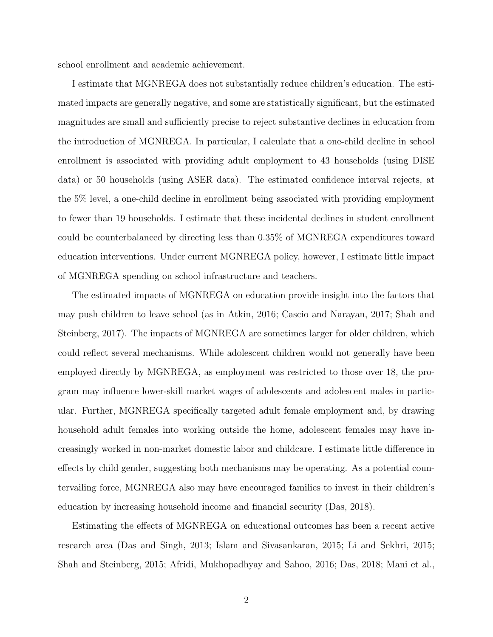school enrollment and academic achievement.

I estimate that MGNREGA does not substantially reduce children's education. The estimated impacts are generally negative, and some are statistically significant, but the estimated magnitudes are small and sufficiently precise to reject substantive declines in education from the introduction of MGNREGA. In particular, I calculate that a one-child decline in school enrollment is associated with providing adult employment to 43 households (using DISE data) or 50 households (using ASER data). The estimated confidence interval rejects, at the 5% level, a one-child decline in enrollment being associated with providing employment to fewer than 19 households. I estimate that these incidental declines in student enrollment could be counterbalanced by directing less than 0.35% of MGNREGA expenditures toward education interventions. Under current MGNREGA policy, however, I estimate little impact of MGNREGA spending on school infrastructure and teachers.

The estimated impacts of MGNREGA on education provide insight into the factors that may push children to leave school (as in Atkin, 2016; Cascio and Narayan, 2017; Shah and Steinberg, 2017). The impacts of MGNREGA are sometimes larger for older children, which could reflect several mechanisms. While adolescent children would not generally have been employed directly by MGNREGA, as employment was restricted to those over 18, the program may influence lower-skill market wages of adolescents and adolescent males in particular. Further, MGNREGA specifically targeted adult female employment and, by drawing household adult females into working outside the home, adolescent females may have increasingly worked in non-market domestic labor and childcare. I estimate little difference in effects by child gender, suggesting both mechanisms may be operating. As a potential countervailing force, MGNREGA also may have encouraged families to invest in their children's education by increasing household income and financial security (Das, 2018).

Estimating the effects of MGNREGA on educational outcomes has been a recent active research area (Das and Singh, 2013; Islam and Sivasankaran, 2015; Li and Sekhri, 2015; Shah and Steinberg, 2015; Afridi, Mukhopadhyay and Sahoo, 2016; Das, 2018; Mani et al.,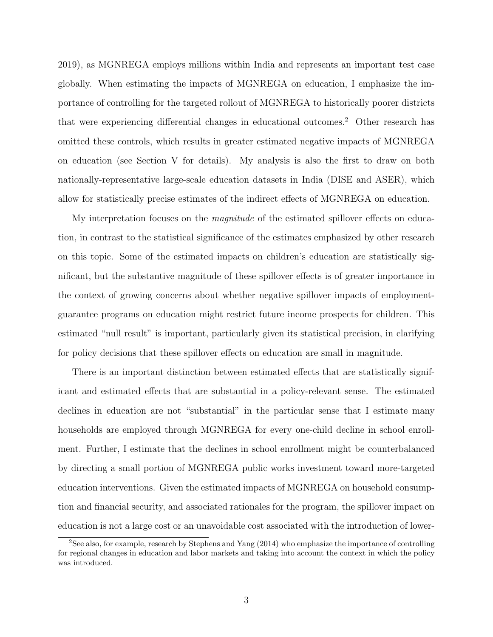2019), as MGNREGA employs millions within India and represents an important test case globally. When estimating the impacts of MGNREGA on education, I emphasize the importance of controlling for the targeted rollout of MGNREGA to historically poorer districts that were experiencing differential changes in educational outcomes.<sup>2</sup> Other research has omitted these controls, which results in greater estimated negative impacts of MGNREGA on education (see Section V for details). My analysis is also the first to draw on both nationally-representative large-scale education datasets in India (DISE and ASER), which allow for statistically precise estimates of the indirect effects of MGNREGA on education.

My interpretation focuses on the *magnitude* of the estimated spillover effects on education, in contrast to the statistical significance of the estimates emphasized by other research on this topic. Some of the estimated impacts on children's education are statistically significant, but the substantive magnitude of these spillover effects is of greater importance in the context of growing concerns about whether negative spillover impacts of employmentguarantee programs on education might restrict future income prospects for children. This estimated "null result" is important, particularly given its statistical precision, in clarifying for policy decisions that these spillover effects on education are small in magnitude.

There is an important distinction between estimated effects that are statistically significant and estimated effects that are substantial in a policy-relevant sense. The estimated declines in education are not "substantial" in the particular sense that I estimate many households are employed through MGNREGA for every one-child decline in school enrollment. Further, I estimate that the declines in school enrollment might be counterbalanced by directing a small portion of MGNREGA public works investment toward more-targeted education interventions. Given the estimated impacts of MGNREGA on household consumption and financial security, and associated rationales for the program, the spillover impact on education is not a large cost or an unavoidable cost associated with the introduction of lower-

<sup>2</sup>See also, for example, research by Stephens and Yang (2014) who emphasize the importance of controlling for regional changes in education and labor markets and taking into account the context in which the policy was introduced.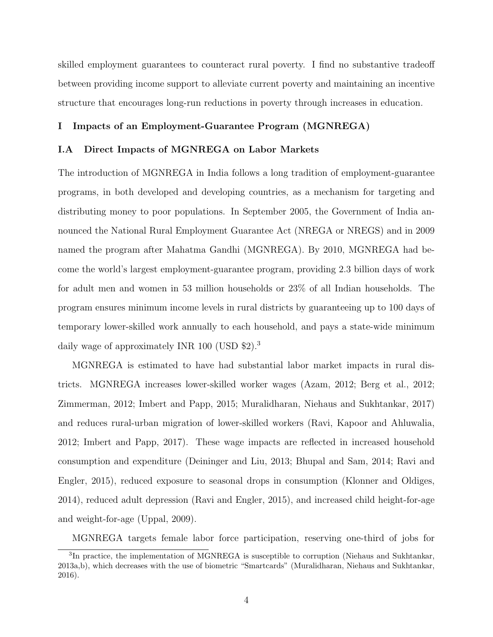skilled employment guarantees to counteract rural poverty. I find no substantive tradeoff between providing income support to alleviate current poverty and maintaining an incentive structure that encourages long-run reductions in poverty through increases in education.

# I Impacts of an Employment-Guarantee Program (MGNREGA)

### I.A Direct Impacts of MGNREGA on Labor Markets

The introduction of MGNREGA in India follows a long tradition of employment-guarantee programs, in both developed and developing countries, as a mechanism for targeting and distributing money to poor populations. In September 2005, the Government of India announced the National Rural Employment Guarantee Act (NREGA or NREGS) and in 2009 named the program after Mahatma Gandhi (MGNREGA). By 2010, MGNREGA had become the world's largest employment-guarantee program, providing 2.3 billion days of work for adult men and women in 53 million households or 23% of all Indian households. The program ensures minimum income levels in rural districts by guaranteeing up to 100 days of temporary lower-skilled work annually to each household, and pays a state-wide minimum daily wage of approximately INR 100 (USD \$2).<sup>3</sup>

MGNREGA is estimated to have had substantial labor market impacts in rural districts. MGNREGA increases lower-skilled worker wages (Azam, 2012; Berg et al., 2012; Zimmerman, 2012; Imbert and Papp, 2015; Muralidharan, Niehaus and Sukhtankar, 2017) and reduces rural-urban migration of lower-skilled workers (Ravi, Kapoor and Ahluwalia, 2012; Imbert and Papp, 2017). These wage impacts are reflected in increased household consumption and expenditure (Deininger and Liu, 2013; Bhupal and Sam, 2014; Ravi and Engler, 2015), reduced exposure to seasonal drops in consumption (Klonner and Oldiges, 2014), reduced adult depression (Ravi and Engler, 2015), and increased child height-for-age and weight-for-age (Uppal, 2009).

MGNREGA targets female labor force participation, reserving one-third of jobs for

<sup>&</sup>lt;sup>3</sup>In practice, the implementation of MGNREGA is susceptible to corruption (Niehaus and Sukhtankar, 2013a,b), which decreases with the use of biometric "Smartcards" (Muralidharan, Niehaus and Sukhtankar, 2016).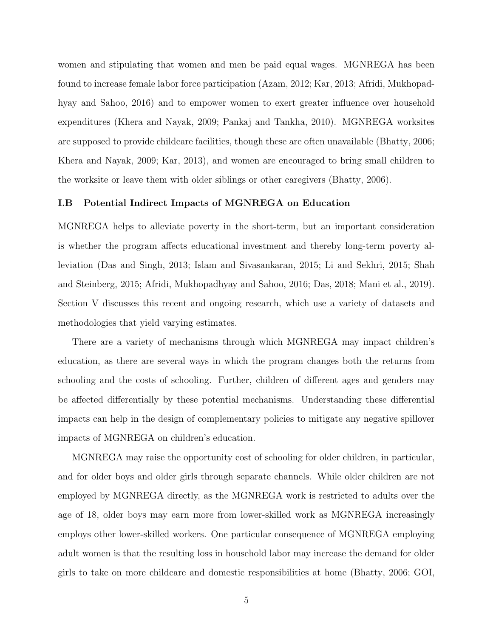women and stipulating that women and men be paid equal wages. MGNREGA has been found to increase female labor force participation (Azam, 2012; Kar, 2013; Afridi, Mukhopadhyay and Sahoo, 2016) and to empower women to exert greater influence over household expenditures (Khera and Nayak, 2009; Pankaj and Tankha, 2010). MGNREGA worksites are supposed to provide childcare facilities, though these are often unavailable (Bhatty, 2006; Khera and Nayak, 2009; Kar, 2013), and women are encouraged to bring small children to the worksite or leave them with older siblings or other caregivers (Bhatty, 2006).

### I.B Potential Indirect Impacts of MGNREGA on Education

MGNREGA helps to alleviate poverty in the short-term, but an important consideration is whether the program affects educational investment and thereby long-term poverty alleviation (Das and Singh, 2013; Islam and Sivasankaran, 2015; Li and Sekhri, 2015; Shah and Steinberg, 2015; Afridi, Mukhopadhyay and Sahoo, 2016; Das, 2018; Mani et al., 2019). Section V discusses this recent and ongoing research, which use a variety of datasets and methodologies that yield varying estimates.

There are a variety of mechanisms through which MGNREGA may impact children's education, as there are several ways in which the program changes both the returns from schooling and the costs of schooling. Further, children of different ages and genders may be affected differentially by these potential mechanisms. Understanding these differential impacts can help in the design of complementary policies to mitigate any negative spillover impacts of MGNREGA on children's education.

MGNREGA may raise the opportunity cost of schooling for older children, in particular, and for older boys and older girls through separate channels. While older children are not employed by MGNREGA directly, as the MGNREGA work is restricted to adults over the age of 18, older boys may earn more from lower-skilled work as MGNREGA increasingly employs other lower-skilled workers. One particular consequence of MGNREGA employing adult women is that the resulting loss in household labor may increase the demand for older girls to take on more childcare and domestic responsibilities at home (Bhatty, 2006; GOI,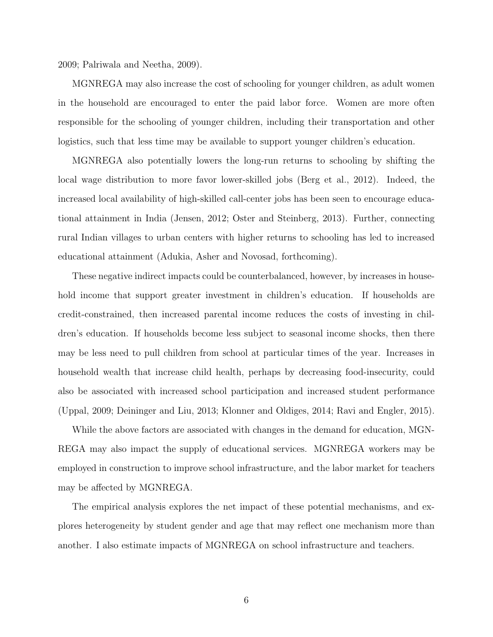2009; Palriwala and Neetha, 2009).

MGNREGA may also increase the cost of schooling for younger children, as adult women in the household are encouraged to enter the paid labor force. Women are more often responsible for the schooling of younger children, including their transportation and other logistics, such that less time may be available to support younger children's education.

MGNREGA also potentially lowers the long-run returns to schooling by shifting the local wage distribution to more favor lower-skilled jobs (Berg et al., 2012). Indeed, the increased local availability of high-skilled call-center jobs has been seen to encourage educational attainment in India (Jensen, 2012; Oster and Steinberg, 2013). Further, connecting rural Indian villages to urban centers with higher returns to schooling has led to increased educational attainment (Adukia, Asher and Novosad, forthcoming).

These negative indirect impacts could be counterbalanced, however, by increases in household income that support greater investment in children's education. If households are credit-constrained, then increased parental income reduces the costs of investing in children's education. If households become less subject to seasonal income shocks, then there may be less need to pull children from school at particular times of the year. Increases in household wealth that increase child health, perhaps by decreasing food-insecurity, could also be associated with increased school participation and increased student performance (Uppal, 2009; Deininger and Liu, 2013; Klonner and Oldiges, 2014; Ravi and Engler, 2015).

While the above factors are associated with changes in the demand for education, MGN-REGA may also impact the supply of educational services. MGNREGA workers may be employed in construction to improve school infrastructure, and the labor market for teachers may be affected by MGNREGA.

The empirical analysis explores the net impact of these potential mechanisms, and explores heterogeneity by student gender and age that may reflect one mechanism more than another. I also estimate impacts of MGNREGA on school infrastructure and teachers.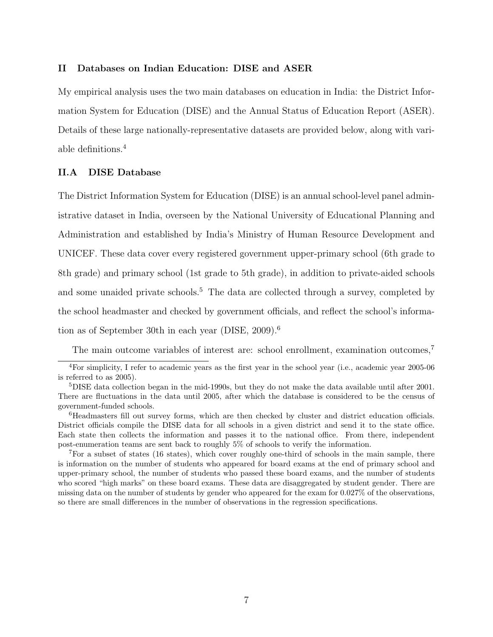### II Databases on Indian Education: DISE and ASER

My empirical analysis uses the two main databases on education in India: the District Information System for Education (DISE) and the Annual Status of Education Report (ASER). Details of these large nationally-representative datasets are provided below, along with variable definitions.<sup>4</sup>

### II.A DISE Database

The District Information System for Education (DISE) is an annual school-level panel administrative dataset in India, overseen by the National University of Educational Planning and Administration and established by India's Ministry of Human Resource Development and UNICEF. These data cover every registered government upper-primary school (6th grade to 8th grade) and primary school (1st grade to 5th grade), in addition to private-aided schools and some unaided private schools.<sup>5</sup> The data are collected through a survey, completed by the school headmaster and checked by government officials, and reflect the school's information as of September 30th in each year (DISE, 2009).<sup>6</sup>

The main outcome variables of interest are: school enrollment, examination outcomes.<sup>7</sup>

<sup>4</sup>For simplicity, I refer to academic years as the first year in the school year (i.e., academic year 2005-06 is referred to as 2005).

<sup>5</sup>DISE data collection began in the mid-1990s, but they do not make the data available until after 2001. There are fluctuations in the data until 2005, after which the database is considered to be the census of government-funded schools.

<sup>6</sup>Headmasters fill out survey forms, which are then checked by cluster and district education officials. District officials compile the DISE data for all schools in a given district and send it to the state office. Each state then collects the information and passes it to the national office. From there, independent post-enumeration teams are sent back to roughly 5% of schools to verify the information.

<sup>7</sup>For a subset of states (16 states), which cover roughly one-third of schools in the main sample, there is information on the number of students who appeared for board exams at the end of primary school and upper-primary school, the number of students who passed these board exams, and the number of students who scored "high marks" on these board exams. These data are disaggregated by student gender. There are missing data on the number of students by gender who appeared for the exam for 0.027% of the observations, so there are small differences in the number of observations in the regression specifications.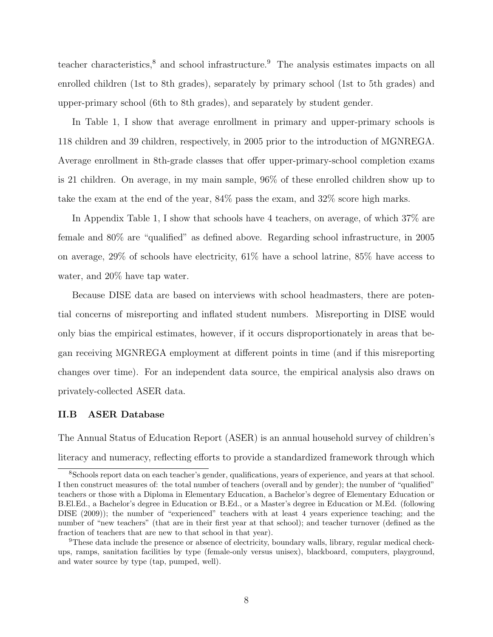teacher characteristics,<sup>8</sup> and school infrastructure.<sup>9</sup> The analysis estimates impacts on all enrolled children (1st to 8th grades), separately by primary school (1st to 5th grades) and upper-primary school (6th to 8th grades), and separately by student gender.

In Table 1, I show that average enrollment in primary and upper-primary schools is 118 children and 39 children, respectively, in 2005 prior to the introduction of MGNREGA. Average enrollment in 8th-grade classes that offer upper-primary-school completion exams is 21 children. On average, in my main sample, 96% of these enrolled children show up to take the exam at the end of the year, 84% pass the exam, and 32% score high marks.

In Appendix Table 1, I show that schools have 4 teachers, on average, of which 37% are female and 80% are "qualified" as defined above. Regarding school infrastructure, in 2005 on average, 29% of schools have electricity, 61% have a school latrine, 85% have access to water, and 20% have tap water.

Because DISE data are based on interviews with school headmasters, there are potential concerns of misreporting and inflated student numbers. Misreporting in DISE would only bias the empirical estimates, however, if it occurs disproportionately in areas that began receiving MGNREGA employment at different points in time (and if this misreporting changes over time). For an independent data source, the empirical analysis also draws on privately-collected ASER data.

### II.B ASER Database

The Annual Status of Education Report (ASER) is an annual household survey of children's literacy and numeracy, reflecting efforts to provide a standardized framework through which

<sup>8</sup>Schools report data on each teacher's gender, qualifications, years of experience, and years at that school. I then construct measures of: the total number of teachers (overall and by gender); the number of "qualified" teachers or those with a Diploma in Elementary Education, a Bachelor's degree of Elementary Education or B.El.Ed., a Bachelor's degree in Education or B.Ed., or a Master's degree in Education or M.Ed. (following DISE (2009)); the number of "experienced" teachers with at least 4 years experience teaching; and the number of "new teachers" (that are in their first year at that school); and teacher turnover (defined as the fraction of teachers that are new to that school in that year).

<sup>9</sup>These data include the presence or absence of electricity, boundary walls, library, regular medical checkups, ramps, sanitation facilities by type (female-only versus unisex), blackboard, computers, playground, and water source by type (tap, pumped, well).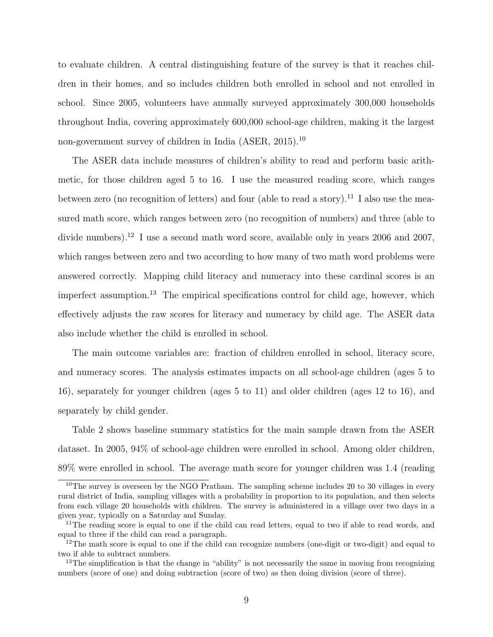to evaluate children. A central distinguishing feature of the survey is that it reaches children in their homes, and so includes children both enrolled in school and not enrolled in school. Since 2005, volunteers have annually surveyed approximately 300,000 households throughout India, covering approximately 600,000 school-age children, making it the largest non-government survey of children in India (ASER, 2015).<sup>10</sup>

The ASER data include measures of children's ability to read and perform basic arithmetic, for those children aged 5 to 16. I use the measured reading score, which ranges between zero (no recognition of letters) and four (able to read a story).<sup>11</sup> I also use the measured math score, which ranges between zero (no recognition of numbers) and three (able to divide numbers).<sup>12</sup> I use a second math word score, available only in years 2006 and 2007, which ranges between zero and two according to how many of two math word problems were answered correctly. Mapping child literacy and numeracy into these cardinal scores is an imperfect assumption.<sup>13</sup> The empirical specifications control for child age, however, which effectively adjusts the raw scores for literacy and numeracy by child age. The ASER data also include whether the child is enrolled in school.

The main outcome variables are: fraction of children enrolled in school, literacy score, and numeracy scores. The analysis estimates impacts on all school-age children (ages 5 to 16), separately for younger children (ages 5 to 11) and older children (ages 12 to 16), and separately by child gender.

Table 2 shows baseline summary statistics for the main sample drawn from the ASER dataset. In 2005, 94% of school-age children were enrolled in school. Among older children, 89% were enrolled in school. The average math score for younger children was 1.4 (reading

 $10$ The survey is overseen by the NGO Pratham. The sampling scheme includes 20 to 30 villages in every rural district of India, sampling villages with a probability in proportion to its population, and then selects from each village 20 households with children. The survey is administered in a village over two days in a given year, typically on a Saturday and Sunday.

<sup>&</sup>lt;sup>11</sup>The reading score is equal to one if the child can read letters, equal to two if able to read words, and equal to three if the child can read a paragraph.

<sup>&</sup>lt;sup>12</sup>The math score is equal to one if the child can recognize numbers (one-digit or two-digit) and equal to two if able to subtract numbers.

<sup>&</sup>lt;sup>13</sup>The simplification is that the change in "ability" is not necessarily the same in moving from recognizing numbers (score of one) and doing subtraction (score of two) as then doing division (score of three).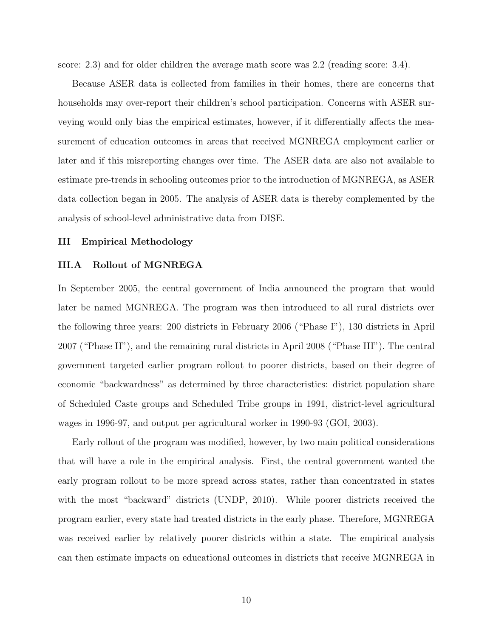score: 2.3) and for older children the average math score was 2.2 (reading score: 3.4).

Because ASER data is collected from families in their homes, there are concerns that households may over-report their children's school participation. Concerns with ASER surveying would only bias the empirical estimates, however, if it differentially affects the measurement of education outcomes in areas that received MGNREGA employment earlier or later and if this misreporting changes over time. The ASER data are also not available to estimate pre-trends in schooling outcomes prior to the introduction of MGNREGA, as ASER data collection began in 2005. The analysis of ASER data is thereby complemented by the analysis of school-level administrative data from DISE.

### III Empirical Methodology

### III.A Rollout of MGNREGA

In September 2005, the central government of India announced the program that would later be named MGNREGA. The program was then introduced to all rural districts over the following three years: 200 districts in February 2006 ("Phase I"), 130 districts in April 2007 ("Phase II"), and the remaining rural districts in April 2008 ("Phase III"). The central government targeted earlier program rollout to poorer districts, based on their degree of economic "backwardness" as determined by three characteristics: district population share of Scheduled Caste groups and Scheduled Tribe groups in 1991, district-level agricultural wages in 1996-97, and output per agricultural worker in 1990-93 (GOI, 2003).

Early rollout of the program was modified, however, by two main political considerations that will have a role in the empirical analysis. First, the central government wanted the early program rollout to be more spread across states, rather than concentrated in states with the most "backward" districts (UNDP, 2010). While poorer districts received the program earlier, every state had treated districts in the early phase. Therefore, MGNREGA was received earlier by relatively poorer districts within a state. The empirical analysis can then estimate impacts on educational outcomes in districts that receive MGNREGA in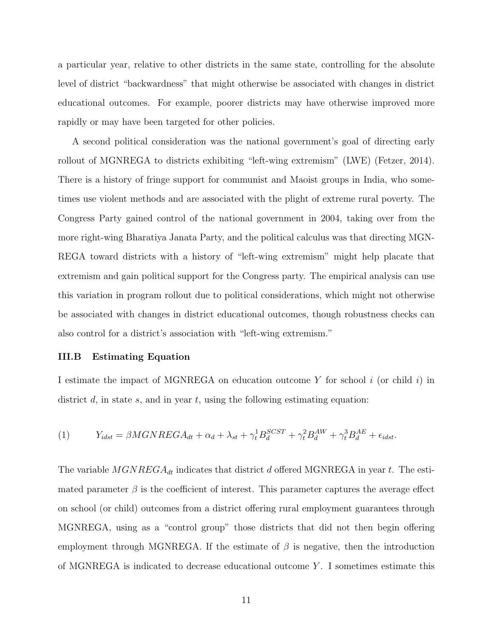a particular year, relative to other districts in the same state, controlling for the absolute level of district "backwardness" that might otherwise be associated with changes in district educational outcomes. For example, poorer districts may have otherwise improved more rapidly or may have been targeted for other policies.

A second political consideration was the national government's goal of directing early rollout of MGNREGA to districts exhibiting "left-wing extremism" (LWE) (Fetzer, 2014). There is a history of fringe support for communist and Maoist groups in India, who sometimes use violent methods and are associated with the plight of extreme rural poverty. The Congress Party gained control of the national government in 2004, taking over from the more right-wing Bharatiya Janata Party, and the political calculus was that directing MGN-REGA toward districts with a history of "left-wing extremism" might help placate that extremism and gain political support for the Congress party. The empirical analysis can use this variation in program rollout due to political considerations, which might not otherwise be associated with changes in district educational outcomes, though robustness checks can also control for a district's association with "left-wing extremism."

### III.B Estimating Equation

I estimate the impact of MGNREGA on education outcome Y for school  $i$  (or child  $i$ ) in district  $d$ , in state  $s$ , and in year  $t$ , using the following estimating equation:

(1) 
$$
Y_{idst} = \beta MGNREGA_{dt} + \alpha_d + \lambda_{st} + \gamma_t^1 B_d^{SCST} + \gamma_t^2 B_d^{AW} + \gamma_t^3 B_d^{AE} + \epsilon_{idst}.
$$

The variable  $MGNREGA_{dt}$  indicates that district d offered MGNREGA in year t. The estimated parameter  $\beta$  is the coefficient of interest. This parameter captures the average effect on school (or child) outcomes from a district offering rural employment guarantees through MGNREGA, using as a "control group" those districts that did not then begin offering employment through MGNREGA. If the estimate of  $\beta$  is negative, then the introduction of MGNREGA is indicated to decrease educational outcome  $Y$ . I sometimes estimate this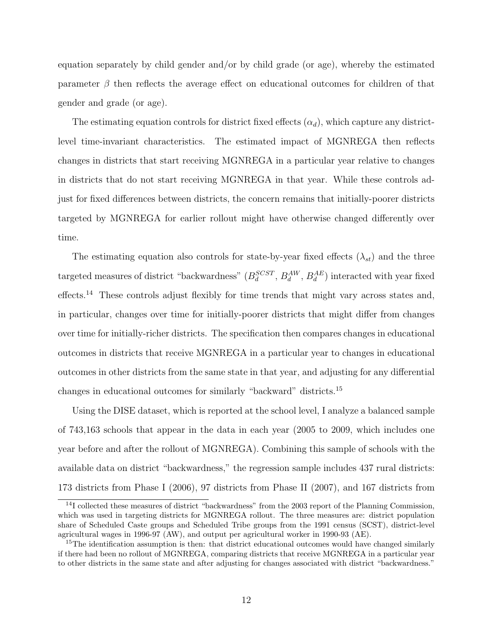equation separately by child gender and/or by child grade (or age), whereby the estimated parameter  $\beta$  then reflects the average effect on educational outcomes for children of that gender and grade (or age).

The estimating equation controls for district fixed effects  $(\alpha_d)$ , which capture any districtlevel time-invariant characteristics. The estimated impact of MGNREGA then reflects changes in districts that start receiving MGNREGA in a particular year relative to changes in districts that do not start receiving MGNREGA in that year. While these controls adjust for fixed differences between districts, the concern remains that initially-poorer districts targeted by MGNREGA for earlier rollout might have otherwise changed differently over time.

The estimating equation also controls for state-by-year fixed effects  $(\lambda_{st})$  and the three targeted measures of district "backwardness"  $(B_d^{SCST}, B_d^{AW}, B_d^{AE})$  interacted with year fixed effects.<sup>14</sup> These controls adjust flexibly for time trends that might vary across states and, in particular, changes over time for initially-poorer districts that might differ from changes over time for initially-richer districts. The specification then compares changes in educational outcomes in districts that receive MGNREGA in a particular year to changes in educational outcomes in other districts from the same state in that year, and adjusting for any differential changes in educational outcomes for similarly "backward" districts.<sup>15</sup>

Using the DISE dataset, which is reported at the school level, I analyze a balanced sample of 743,163 schools that appear in the data in each year (2005 to 2009, which includes one year before and after the rollout of MGNREGA). Combining this sample of schools with the available data on district "backwardness," the regression sample includes 437 rural districts: 173 districts from Phase I (2006), 97 districts from Phase II (2007), and 167 districts from

<sup>&</sup>lt;sup>14</sup>I collected these measures of district "backwardness" from the 2003 report of the Planning Commission, which was used in targeting districts for MGNREGA rollout. The three measures are: district population share of Scheduled Caste groups and Scheduled Tribe groups from the 1991 census (SCST), district-level agricultural wages in 1996-97 (AW), and output per agricultural worker in 1990-93 (AE).

 $15$ The identification assumption is then: that district educational outcomes would have changed similarly if there had been no rollout of MGNREGA, comparing districts that receive MGNREGA in a particular year to other districts in the same state and after adjusting for changes associated with district "backwardness."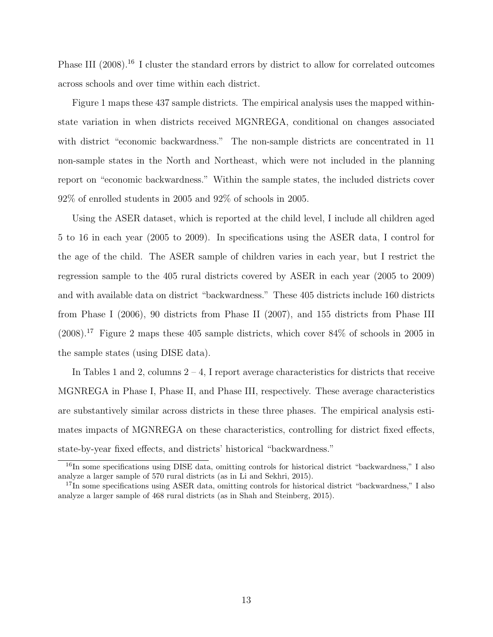Phase III (2008).<sup>16</sup> I cluster the standard errors by district to allow for correlated outcomes across schools and over time within each district.

Figure 1 maps these 437 sample districts. The empirical analysis uses the mapped withinstate variation in when districts received MGNREGA, conditional on changes associated with district "economic backwardness." The non-sample districts are concentrated in 11 non-sample states in the North and Northeast, which were not included in the planning report on "economic backwardness." Within the sample states, the included districts cover 92% of enrolled students in 2005 and 92% of schools in 2005.

Using the ASER dataset, which is reported at the child level, I include all children aged 5 to 16 in each year (2005 to 2009). In specifications using the ASER data, I control for the age of the child. The ASER sample of children varies in each year, but I restrict the regression sample to the 405 rural districts covered by ASER in each year (2005 to 2009) and with available data on district "backwardness." These 405 districts include 160 districts from Phase I (2006), 90 districts from Phase II (2007), and 155 districts from Phase III  $(2008).$ <sup>17</sup> Figure 2 maps these 405 sample districts, which cover 84% of schools in 2005 in the sample states (using DISE data).

In Tables 1 and 2, columns  $2 - 4$ , I report average characteristics for districts that receive MGNREGA in Phase I, Phase II, and Phase III, respectively. These average characteristics are substantively similar across districts in these three phases. The empirical analysis estimates impacts of MGNREGA on these characteristics, controlling for district fixed effects, state-by-year fixed effects, and districts' historical "backwardness."

<sup>&</sup>lt;sup>16</sup>In some specifications using DISE data, omitting controls for historical district "backwardness," I also analyze a larger sample of 570 rural districts (as in Li and Sekhri, 2015).

<sup>&</sup>lt;sup>17</sup>In some specifications using ASER data, omitting controls for historical district "backwardness," I also analyze a larger sample of 468 rural districts (as in Shah and Steinberg, 2015).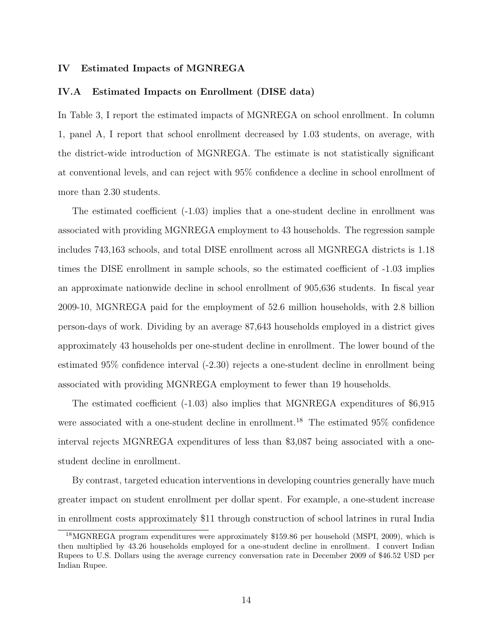### IV Estimated Impacts of MGNREGA

### IV.A Estimated Impacts on Enrollment (DISE data)

In Table 3, I report the estimated impacts of MGNREGA on school enrollment. In column 1, panel A, I report that school enrollment decreased by 1.03 students, on average, with the district-wide introduction of MGNREGA. The estimate is not statistically significant at conventional levels, and can reject with 95% confidence a decline in school enrollment of more than 2.30 students.

The estimated coefficient (-1.03) implies that a one-student decline in enrollment was associated with providing MGNREGA employment to 43 households. The regression sample includes 743,163 schools, and total DISE enrollment across all MGNREGA districts is 1.18 times the DISE enrollment in sample schools, so the estimated coefficient of -1.03 implies an approximate nationwide decline in school enrollment of 905,636 students. In fiscal year 2009-10, MGNREGA paid for the employment of 52.6 million households, with 2.8 billion person-days of work. Dividing by an average 87,643 households employed in a district gives approximately 43 households per one-student decline in enrollment. The lower bound of the estimated 95% confidence interval (-2.30) rejects a one-student decline in enrollment being associated with providing MGNREGA employment to fewer than 19 households.

The estimated coefficient (-1.03) also implies that MGNREGA expenditures of \$6,915 were associated with a one-student decline in enrollment.<sup>18</sup> The estimated 95% confidence interval rejects MGNREGA expenditures of less than \$3,087 being associated with a onestudent decline in enrollment.

By contrast, targeted education interventions in developing countries generally have much greater impact on student enrollment per dollar spent. For example, a one-student increase in enrollment costs approximately \$11 through construction of school latrines in rural India

<sup>18</sup>MGNREGA program expenditures were approximately \$159.86 per household (MSPI, 2009), which is then multiplied by 43.26 households employed for a one-student decline in enrollment. I convert Indian Rupees to U.S. Dollars using the average currency conversation rate in December 2009 of \$46.52 USD per Indian Rupee.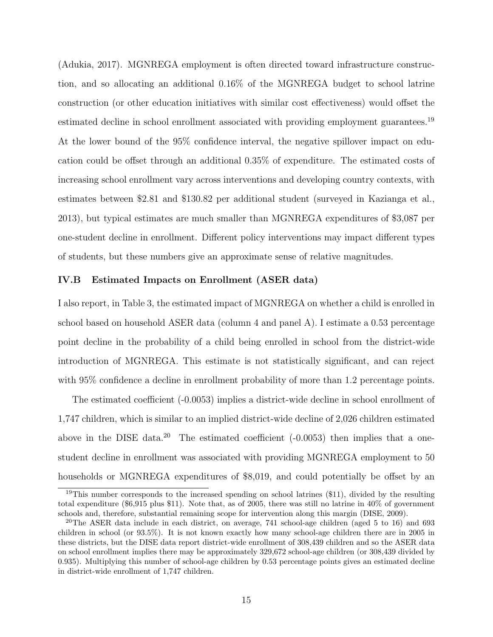(Adukia, 2017). MGNREGA employment is often directed toward infrastructure construction, and so allocating an additional 0.16% of the MGNREGA budget to school latrine construction (or other education initiatives with similar cost effectiveness) would offset the estimated decline in school enrollment associated with providing employment guarantees.<sup>19</sup> At the lower bound of the 95% confidence interval, the negative spillover impact on education could be offset through an additional 0.35% of expenditure. The estimated costs of increasing school enrollment vary across interventions and developing country contexts, with estimates between \$2.81 and \$130.82 per additional student (surveyed in Kazianga et al., 2013), but typical estimates are much smaller than MGNREGA expenditures of \$3,087 per one-student decline in enrollment. Different policy interventions may impact different types of students, but these numbers give an approximate sense of relative magnitudes.

### IV.B Estimated Impacts on Enrollment (ASER data)

I also report, in Table 3, the estimated impact of MGNREGA on whether a child is enrolled in school based on household ASER data (column 4 and panel A). I estimate a 0.53 percentage point decline in the probability of a child being enrolled in school from the district-wide introduction of MGNREGA. This estimate is not statistically significant, and can reject with  $95\%$  confidence a decline in enrollment probability of more than 1.2 percentage points.

The estimated coefficient (-0.0053) implies a district-wide decline in school enrollment of 1,747 children, which is similar to an implied district-wide decline of 2,026 children estimated above in the DISE data.<sup>20</sup> The estimated coefficient  $(-0.0053)$  then implies that a onestudent decline in enrollment was associated with providing MGNREGA employment to 50 households or MGNREGA expenditures of \$8,019, and could potentially be offset by an

<sup>19</sup>This number corresponds to the increased spending on school latrines (\$11), divided by the resulting total expenditure (\$6,915 plus \$11). Note that, as of 2005, there was still no latrine in 40% of government schools and, therefore, substantial remaining scope for intervention along this margin (DISE, 2009).

<sup>&</sup>lt;sup>20</sup>The ASER data include in each district, on average,  $741$  school-age children (aged 5 to 16) and 693 children in school (or 93.5%). It is not known exactly how many school-age children there are in 2005 in these districts, but the DISE data report district-wide enrollment of 308,439 children and so the ASER data on school enrollment implies there may be approximately 329,672 school-age children (or 308,439 divided by 0.935). Multiplying this number of school-age children by 0.53 percentage points gives an estimated decline in district-wide enrollment of 1,747 children.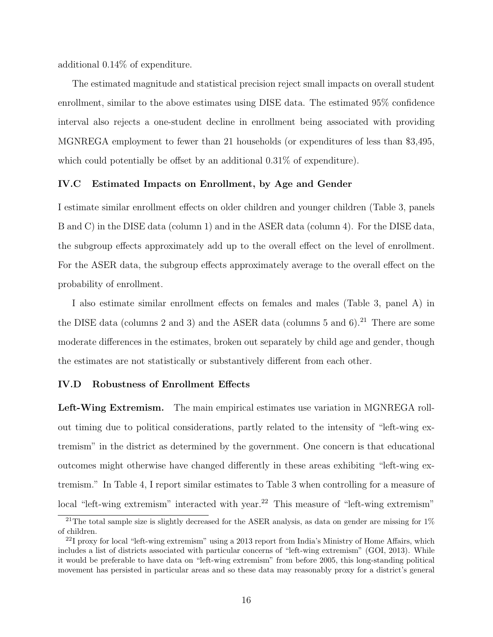additional 0.14% of expenditure.

The estimated magnitude and statistical precision reject small impacts on overall student enrollment, similar to the above estimates using DISE data. The estimated 95% confidence interval also rejects a one-student decline in enrollment being associated with providing MGNREGA employment to fewer than 21 households (or expenditures of less than \$3,495, which could potentially be offset by an additional 0.31\% of expenditure).

# IV.C Estimated Impacts on Enrollment, by Age and Gender

I estimate similar enrollment effects on older children and younger children (Table 3, panels B and C) in the DISE data (column 1) and in the ASER data (column 4). For the DISE data, the subgroup effects approximately add up to the overall effect on the level of enrollment. For the ASER data, the subgroup effects approximately average to the overall effect on the probability of enrollment.

I also estimate similar enrollment effects on females and males (Table 3, panel A) in the DISE data (columns 2 and 3) and the ASER data (columns 5 and  $6$ ).<sup>21</sup> There are some moderate differences in the estimates, broken out separately by child age and gender, though the estimates are not statistically or substantively different from each other.

### IV.D Robustness of Enrollment Effects

Left-Wing Extremism. The main empirical estimates use variation in MGNREGA rollout timing due to political considerations, partly related to the intensity of "left-wing extremism" in the district as determined by the government. One concern is that educational outcomes might otherwise have changed differently in these areas exhibiting "left-wing extremism." In Table 4, I report similar estimates to Table 3 when controlling for a measure of local "left-wing extremism" interacted with year.<sup>22</sup> This measure of "left-wing extremism"

<sup>&</sup>lt;sup>21</sup>The total sample size is slightly decreased for the ASER analysis, as data on gender are missing for  $1\%$ of children.

 $^{22}$ I proxy for local "left-wing extremism" using a 2013 report from India's Ministry of Home Affairs, which includes a list of districts associated with particular concerns of "left-wing extremism" (GOI, 2013). While it would be preferable to have data on "left-wing extremism" from before 2005, this long-standing political movement has persisted in particular areas and so these data may reasonably proxy for a district's general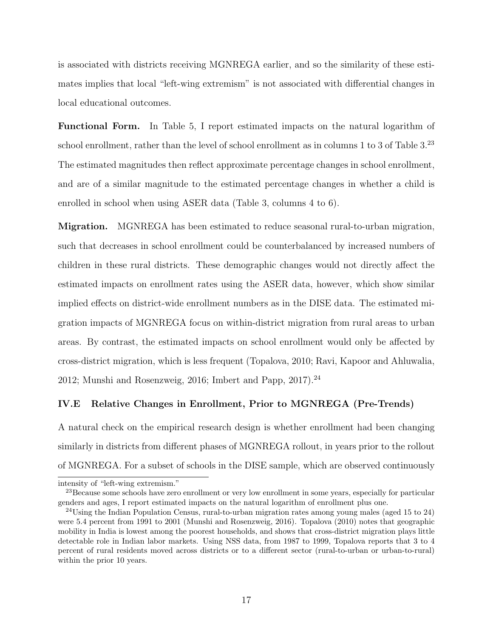is associated with districts receiving MGNREGA earlier, and so the similarity of these estimates implies that local "left-wing extremism" is not associated with differential changes in local educational outcomes.

Functional Form. In Table 5, I report estimated impacts on the natural logarithm of school enrollment, rather than the level of school enrollment as in columns 1 to 3 of Table 3.<sup>23</sup> The estimated magnitudes then reflect approximate percentage changes in school enrollment, and are of a similar magnitude to the estimated percentage changes in whether a child is enrolled in school when using ASER data (Table 3, columns 4 to 6).

Migration. MGNREGA has been estimated to reduce seasonal rural-to-urban migration, such that decreases in school enrollment could be counterbalanced by increased numbers of children in these rural districts. These demographic changes would not directly affect the estimated impacts on enrollment rates using the ASER data, however, which show similar implied effects on district-wide enrollment numbers as in the DISE data. The estimated migration impacts of MGNREGA focus on within-district migration from rural areas to urban areas. By contrast, the estimated impacts on school enrollment would only be affected by cross-district migration, which is less frequent (Topalova, 2010; Ravi, Kapoor and Ahluwalia, 2012; Munshi and Rosenzweig, 2016; Imbert and Papp,  $2017$ .<sup>24</sup>

## IV.E Relative Changes in Enrollment, Prior to MGNREGA (Pre-Trends)

A natural check on the empirical research design is whether enrollment had been changing similarly in districts from different phases of MGNREGA rollout, in years prior to the rollout of MGNREGA. For a subset of schools in the DISE sample, which are observed continuously

intensity of "left-wing extremism."

<sup>&</sup>lt;sup>23</sup>Because some schools have zero enrollment or very low enrollment in some years, especially for particular genders and ages, I report estimated impacts on the natural logarithm of enrollment plus one.

<sup>24</sup>Using the Indian Population Census, rural-to-urban migration rates among young males (aged 15 to 24) were 5.4 percent from 1991 to 2001 (Munshi and Rosenzweig, 2016). Topalova (2010) notes that geographic mobility in India is lowest among the poorest households, and shows that cross-district migration plays little detectable role in Indian labor markets. Using NSS data, from 1987 to 1999, Topalova reports that 3 to 4 percent of rural residents moved across districts or to a different sector (rural-to-urban or urban-to-rural) within the prior 10 years.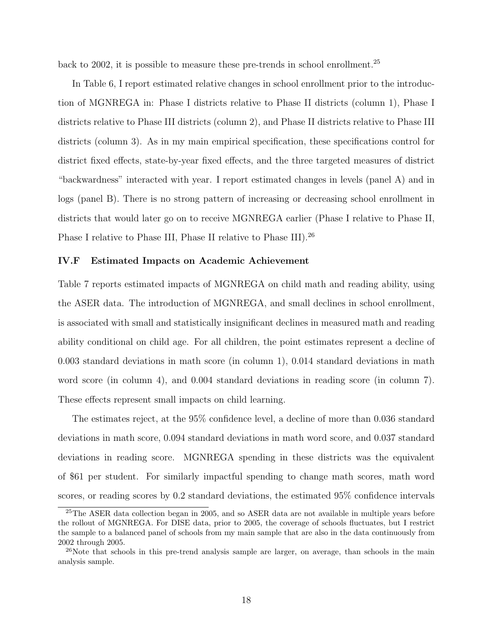back to 2002, it is possible to measure these pre-trends in school enrollment.<sup>25</sup>

In Table 6, I report estimated relative changes in school enrollment prior to the introduction of MGNREGA in: Phase I districts relative to Phase II districts (column 1), Phase I districts relative to Phase III districts (column 2), and Phase II districts relative to Phase III districts (column 3). As in my main empirical specification, these specifications control for district fixed effects, state-by-year fixed effects, and the three targeted measures of district "backwardness" interacted with year. I report estimated changes in levels (panel A) and in logs (panel B). There is no strong pattern of increasing or decreasing school enrollment in districts that would later go on to receive MGNREGA earlier (Phase I relative to Phase II, Phase I relative to Phase III, Phase II relative to Phase III).<sup>26</sup>

# IV.F Estimated Impacts on Academic Achievement

Table 7 reports estimated impacts of MGNREGA on child math and reading ability, using the ASER data. The introduction of MGNREGA, and small declines in school enrollment, is associated with small and statistically insignificant declines in measured math and reading ability conditional on child age. For all children, the point estimates represent a decline of 0.003 standard deviations in math score (in column 1), 0.014 standard deviations in math word score (in column 4), and 0.004 standard deviations in reading score (in column 7). These effects represent small impacts on child learning.

The estimates reject, at the 95% confidence level, a decline of more than 0.036 standard deviations in math score, 0.094 standard deviations in math word score, and 0.037 standard deviations in reading score. MGNREGA spending in these districts was the equivalent of \$61 per student. For similarly impactful spending to change math scores, math word scores, or reading scores by 0.2 standard deviations, the estimated 95% confidence intervals

<sup>25</sup>The ASER data collection began in 2005, and so ASER data are not available in multiple years before the rollout of MGNREGA. For DISE data, prior to 2005, the coverage of schools fluctuates, but I restrict the sample to a balanced panel of schools from my main sample that are also in the data continuously from 2002 through 2005.

<sup>&</sup>lt;sup>26</sup>Note that schools in this pre-trend analysis sample are larger, on average, than schools in the main analysis sample.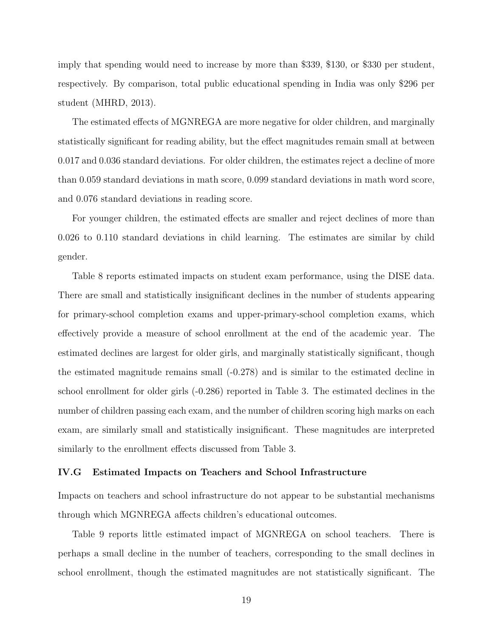imply that spending would need to increase by more than \$339, \$130, or \$330 per student, respectively. By comparison, total public educational spending in India was only \$296 per student (MHRD, 2013).

The estimated effects of MGNREGA are more negative for older children, and marginally statistically significant for reading ability, but the effect magnitudes remain small at between 0.017 and 0.036 standard deviations. For older children, the estimates reject a decline of more than 0.059 standard deviations in math score, 0.099 standard deviations in math word score, and 0.076 standard deviations in reading score.

For younger children, the estimated effects are smaller and reject declines of more than 0.026 to 0.110 standard deviations in child learning. The estimates are similar by child gender.

Table 8 reports estimated impacts on student exam performance, using the DISE data. There are small and statistically insignificant declines in the number of students appearing for primary-school completion exams and upper-primary-school completion exams, which effectively provide a measure of school enrollment at the end of the academic year. The estimated declines are largest for older girls, and marginally statistically significant, though the estimated magnitude remains small (-0.278) and is similar to the estimated decline in school enrollment for older girls (-0.286) reported in Table 3. The estimated declines in the number of children passing each exam, and the number of children scoring high marks on each exam, are similarly small and statistically insignificant. These magnitudes are interpreted similarly to the enrollment effects discussed from Table 3.

### IV.G Estimated Impacts on Teachers and School Infrastructure

Impacts on teachers and school infrastructure do not appear to be substantial mechanisms through which MGNREGA affects children's educational outcomes.

Table 9 reports little estimated impact of MGNREGA on school teachers. There is perhaps a small decline in the number of teachers, corresponding to the small declines in school enrollment, though the estimated magnitudes are not statistically significant. The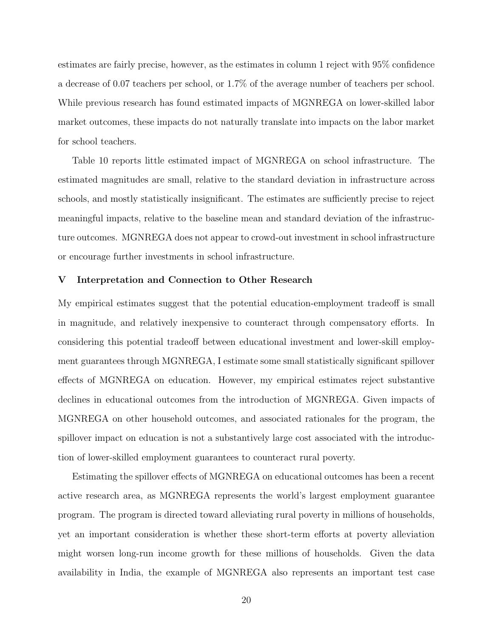estimates are fairly precise, however, as the estimates in column 1 reject with 95% confidence a decrease of 0.07 teachers per school, or 1.7% of the average number of teachers per school. While previous research has found estimated impacts of MGNREGA on lower-skilled labor market outcomes, these impacts do not naturally translate into impacts on the labor market for school teachers.

Table 10 reports little estimated impact of MGNREGA on school infrastructure. The estimated magnitudes are small, relative to the standard deviation in infrastructure across schools, and mostly statistically insignificant. The estimates are sufficiently precise to reject meaningful impacts, relative to the baseline mean and standard deviation of the infrastructure outcomes. MGNREGA does not appear to crowd-out investment in school infrastructure or encourage further investments in school infrastructure.

### V Interpretation and Connection to Other Research

My empirical estimates suggest that the potential education-employment tradeoff is small in magnitude, and relatively inexpensive to counteract through compensatory efforts. In considering this potential tradeoff between educational investment and lower-skill employment guarantees through MGNREGA, I estimate some small statistically significant spillover effects of MGNREGA on education. However, my empirical estimates reject substantive declines in educational outcomes from the introduction of MGNREGA. Given impacts of MGNREGA on other household outcomes, and associated rationales for the program, the spillover impact on education is not a substantively large cost associated with the introduction of lower-skilled employment guarantees to counteract rural poverty.

Estimating the spillover effects of MGNREGA on educational outcomes has been a recent active research area, as MGNREGA represents the world's largest employment guarantee program. The program is directed toward alleviating rural poverty in millions of households, yet an important consideration is whether these short-term efforts at poverty alleviation might worsen long-run income growth for these millions of households. Given the data availability in India, the example of MGNREGA also represents an important test case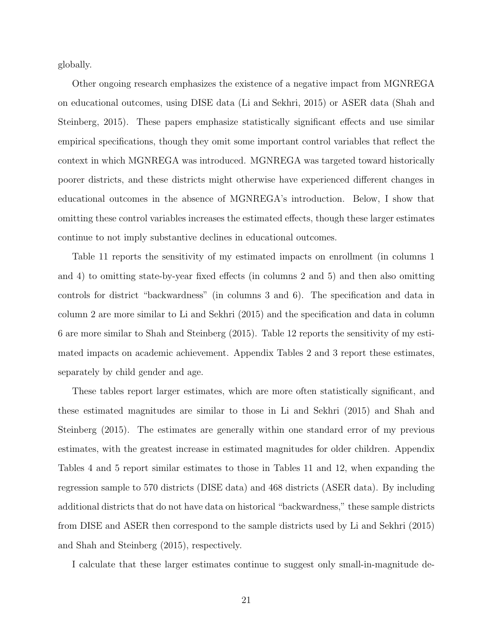globally.

Other ongoing research emphasizes the existence of a negative impact from MGNREGA on educational outcomes, using DISE data (Li and Sekhri, 2015) or ASER data (Shah and Steinberg, 2015). These papers emphasize statistically significant effects and use similar empirical specifications, though they omit some important control variables that reflect the context in which MGNREGA was introduced. MGNREGA was targeted toward historically poorer districts, and these districts might otherwise have experienced different changes in educational outcomes in the absence of MGNREGA's introduction. Below, I show that omitting these control variables increases the estimated effects, though these larger estimates continue to not imply substantive declines in educational outcomes.

Table 11 reports the sensitivity of my estimated impacts on enrollment (in columns 1 and 4) to omitting state-by-year fixed effects (in columns 2 and 5) and then also omitting controls for district "backwardness" (in columns 3 and 6). The specification and data in column 2 are more similar to Li and Sekhri (2015) and the specification and data in column 6 are more similar to Shah and Steinberg (2015). Table 12 reports the sensitivity of my estimated impacts on academic achievement. Appendix Tables 2 and 3 report these estimates, separately by child gender and age.

These tables report larger estimates, which are more often statistically significant, and these estimated magnitudes are similar to those in Li and Sekhri (2015) and Shah and Steinberg (2015). The estimates are generally within one standard error of my previous estimates, with the greatest increase in estimated magnitudes for older children. Appendix Tables 4 and 5 report similar estimates to those in Tables 11 and 12, when expanding the regression sample to 570 districts (DISE data) and 468 districts (ASER data). By including additional districts that do not have data on historical "backwardness," these sample districts from DISE and ASER then correspond to the sample districts used by Li and Sekhri (2015) and Shah and Steinberg (2015), respectively.

I calculate that these larger estimates continue to suggest only small-in-magnitude de-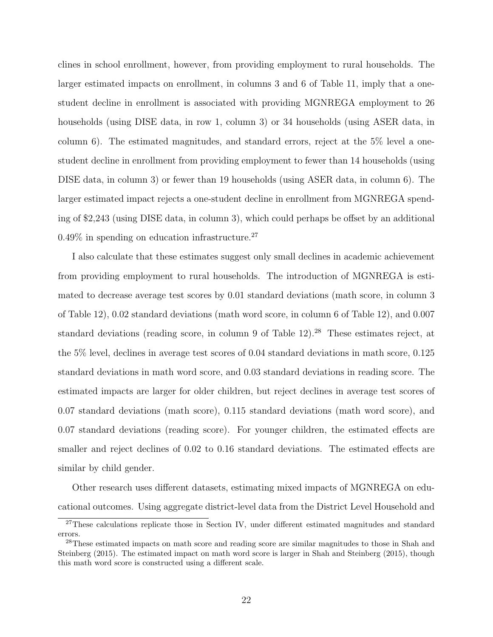clines in school enrollment, however, from providing employment to rural households. The larger estimated impacts on enrollment, in columns 3 and 6 of Table 11, imply that a onestudent decline in enrollment is associated with providing MGNREGA employment to 26 households (using DISE data, in row 1, column 3) or 34 households (using ASER data, in column 6). The estimated magnitudes, and standard errors, reject at the 5% level a onestudent decline in enrollment from providing employment to fewer than 14 households (using DISE data, in column 3) or fewer than 19 households (using ASER data, in column 6). The larger estimated impact rejects a one-student decline in enrollment from MGNREGA spending of \$2,243 (using DISE data, in column 3), which could perhaps be offset by an additional  $0.49\%$  in spending on education infrastructure.<sup>27</sup>

I also calculate that these estimates suggest only small declines in academic achievement from providing employment to rural households. The introduction of MGNREGA is estimated to decrease average test scores by 0.01 standard deviations (math score, in column 3 of Table 12), 0.02 standard deviations (math word score, in column 6 of Table 12), and 0.007 standard deviations (reading score, in column 9 of Table 12).<sup>28</sup> These estimates reject, at the 5% level, declines in average test scores of 0.04 standard deviations in math score, 0.125 standard deviations in math word score, and 0.03 standard deviations in reading score. The estimated impacts are larger for older children, but reject declines in average test scores of 0.07 standard deviations (math score), 0.115 standard deviations (math word score), and 0.07 standard deviations (reading score). For younger children, the estimated effects are smaller and reject declines of 0.02 to 0.16 standard deviations. The estimated effects are similar by child gender.

Other research uses different datasets, estimating mixed impacts of MGNREGA on educational outcomes. Using aggregate district-level data from the District Level Household and

<sup>27</sup>These calculations replicate those in Section IV, under different estimated magnitudes and standard errors.

<sup>28</sup>These estimated impacts on math score and reading score are similar magnitudes to those in Shah and Steinberg (2015). The estimated impact on math word score is larger in Shah and Steinberg (2015), though this math word score is constructed using a different scale.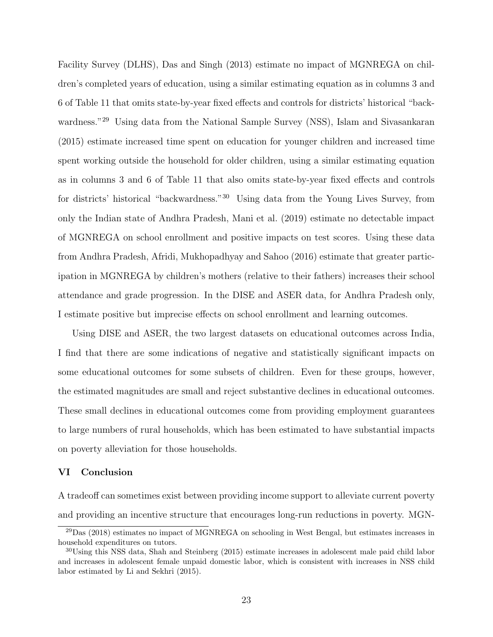Facility Survey (DLHS), Das and Singh (2013) estimate no impact of MGNREGA on children's completed years of education, using a similar estimating equation as in columns 3 and 6 of Table 11 that omits state-by-year fixed effects and controls for districts' historical "backwardness."<sup>29</sup> Using data from the National Sample Survey (NSS), Islam and Sivasankaran (2015) estimate increased time spent on education for younger children and increased time spent working outside the household for older children, using a similar estimating equation as in columns 3 and 6 of Table 11 that also omits state-by-year fixed effects and controls for districts' historical "backwardness."<sup>30</sup> Using data from the Young Lives Survey, from only the Indian state of Andhra Pradesh, Mani et al. (2019) estimate no detectable impact of MGNREGA on school enrollment and positive impacts on test scores. Using these data from Andhra Pradesh, Afridi, Mukhopadhyay and Sahoo (2016) estimate that greater participation in MGNREGA by children's mothers (relative to their fathers) increases their school attendance and grade progression. In the DISE and ASER data, for Andhra Pradesh only, I estimate positive but imprecise effects on school enrollment and learning outcomes.

Using DISE and ASER, the two largest datasets on educational outcomes across India, I find that there are some indications of negative and statistically significant impacts on some educational outcomes for some subsets of children. Even for these groups, however, the estimated magnitudes are small and reject substantive declines in educational outcomes. These small declines in educational outcomes come from providing employment guarantees to large numbers of rural households, which has been estimated to have substantial impacts on poverty alleviation for those households.

# VI Conclusion

A tradeoff can sometimes exist between providing income support to alleviate current poverty and providing an incentive structure that encourages long-run reductions in poverty. MGN-

 $^{29}$ Das (2018) estimates no impact of MGNREGA on schooling in West Bengal, but estimates increases in household expenditures on tutors.

<sup>&</sup>lt;sup>30</sup>Using this NSS data, Shah and Steinberg (2015) estimate increases in adolescent male paid child labor and increases in adolescent female unpaid domestic labor, which is consistent with increases in NSS child labor estimated by Li and Sekhri (2015).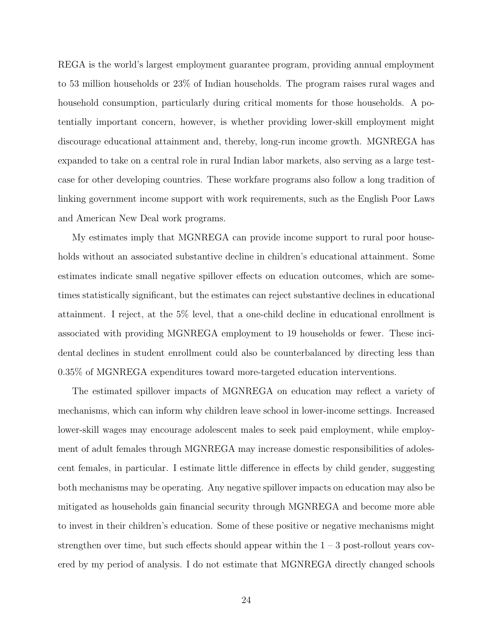REGA is the world's largest employment guarantee program, providing annual employment to 53 million households or 23% of Indian households. The program raises rural wages and household consumption, particularly during critical moments for those households. A potentially important concern, however, is whether providing lower-skill employment might discourage educational attainment and, thereby, long-run income growth. MGNREGA has expanded to take on a central role in rural Indian labor markets, also serving as a large testcase for other developing countries. These workfare programs also follow a long tradition of linking government income support with work requirements, such as the English Poor Laws and American New Deal work programs.

My estimates imply that MGNREGA can provide income support to rural poor households without an associated substantive decline in children's educational attainment. Some estimates indicate small negative spillover effects on education outcomes, which are sometimes statistically significant, but the estimates can reject substantive declines in educational attainment. I reject, at the 5% level, that a one-child decline in educational enrollment is associated with providing MGNREGA employment to 19 households or fewer. These incidental declines in student enrollment could also be counterbalanced by directing less than 0.35% of MGNREGA expenditures toward more-targeted education interventions.

The estimated spillover impacts of MGNREGA on education may reflect a variety of mechanisms, which can inform why children leave school in lower-income settings. Increased lower-skill wages may encourage adolescent males to seek paid employment, while employment of adult females through MGNREGA may increase domestic responsibilities of adolescent females, in particular. I estimate little difference in effects by child gender, suggesting both mechanisms may be operating. Any negative spillover impacts on education may also be mitigated as households gain financial security through MGNREGA and become more able to invest in their children's education. Some of these positive or negative mechanisms might strengthen over time, but such effects should appear within the  $1 - 3$  post-rollout years covered by my period of analysis. I do not estimate that MGNREGA directly changed schools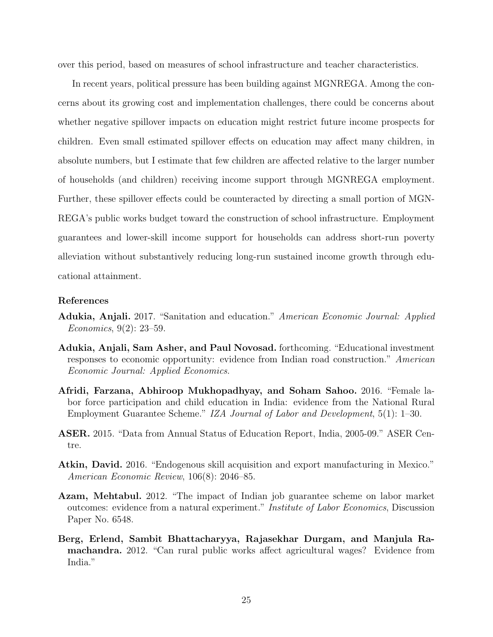over this period, based on measures of school infrastructure and teacher characteristics.

In recent years, political pressure has been building against MGNREGA. Among the concerns about its growing cost and implementation challenges, there could be concerns about whether negative spillover impacts on education might restrict future income prospects for children. Even small estimated spillover effects on education may affect many children, in absolute numbers, but I estimate that few children are affected relative to the larger number of households (and children) receiving income support through MGNREGA employment. Further, these spillover effects could be counteracted by directing a small portion of MGN-REGA's public works budget toward the construction of school infrastructure. Employment guarantees and lower-skill income support for households can address short-run poverty alleviation without substantively reducing long-run sustained income growth through educational attainment.

### References

- Adukia, Anjali. 2017. "Sanitation and education." American Economic Journal: Applied Economics, 9(2): 23–59.
- Adukia, Anjali, Sam Asher, and Paul Novosad. forthcoming. "Educational investment responses to economic opportunity: evidence from Indian road construction." American Economic Journal: Applied Economics.
- Afridi, Farzana, Abhiroop Mukhopadhyay, and Soham Sahoo. 2016. "Female labor force participation and child education in India: evidence from the National Rural Employment Guarantee Scheme." IZA Journal of Labor and Development, 5(1): 1–30.
- ASER. 2015. "Data from Annual Status of Education Report, India, 2005-09." ASER Centre.
- Atkin, David. 2016. "Endogenous skill acquisition and export manufacturing in Mexico." American Economic Review, 106(8): 2046–85.
- Azam, Mehtabul. 2012. "The impact of Indian job guarantee scheme on labor market outcomes: evidence from a natural experiment." Institute of Labor Economics, Discussion Paper No. 6548.
- Berg, Erlend, Sambit Bhattacharyya, Rajasekhar Durgam, and Manjula Ramachandra. 2012. "Can rural public works affect agricultural wages? Evidence from India."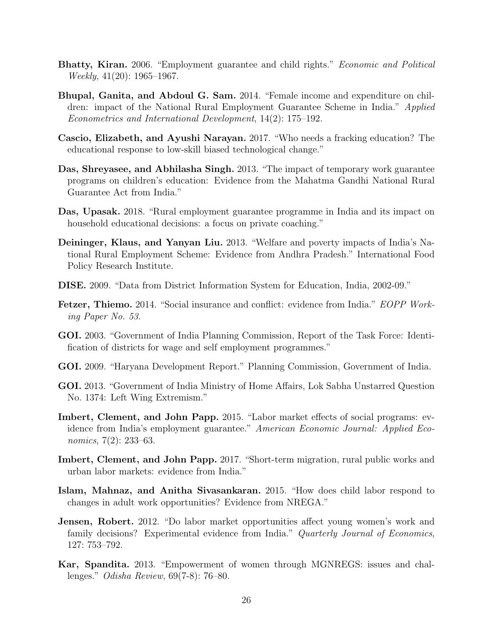- Bhatty, Kiran. 2006. "Employment guarantee and child rights." Economic and Political Weekly, 41(20): 1965–1967.
- Bhupal, Ganita, and Abdoul G. Sam. 2014. "Female income and expenditure on children: impact of the National Rural Employment Guarantee Scheme in India." Applied Econometrics and International Development, 14(2): 175–192.
- Cascio, Elizabeth, and Ayushi Narayan. 2017. "Who needs a fracking education? The educational response to low-skill biased technological change."
- Das, Shreyasee, and Abhilasha Singh. 2013. "The impact of temporary work guarantee programs on children's education: Evidence from the Mahatma Gandhi National Rural Guarantee Act from India."
- Das, Upasak. 2018. "Rural employment guarantee programme in India and its impact on household educational decisions: a focus on private coaching."
- Deininger, Klaus, and Yanyan Liu. 2013. "Welfare and poverty impacts of India's National Rural Employment Scheme: Evidence from Andhra Pradesh." International Food Policy Research Institute.
- DISE. 2009. "Data from District Information System for Education, India, 2002-09."
- Fetzer, Thiemo. 2014. "Social insurance and conflict: evidence from India." EOPP Working Paper No. 53.
- GOI. 2003. "Government of India Planning Commission, Report of the Task Force: Identification of districts for wage and self employment programmes."
- GOI. 2009. "Haryana Development Report." Planning Commission, Government of India.
- GOI. 2013. "Government of India Ministry of Home Affairs, Lok Sabha Unstarred Question No. 1374: Left Wing Extremism."
- Imbert, Clement, and John Papp. 2015. "Labor market effects of social programs: evidence from India's employment guarantee." American Economic Journal: Applied Economics, 7(2): 233–63.
- Imbert, Clement, and John Papp. 2017. "Short-term migration, rural public works and urban labor markets: evidence from India."
- Islam, Mahnaz, and Anitha Sivasankaran. 2015. "How does child labor respond to changes in adult work opportunities? Evidence from NREGA."
- Jensen, Robert. 2012. "Do labor market opportunities affect young women's work and family decisions? Experimental evidence from India." Quarterly Journal of Economics, 127: 753–792.
- Kar, Spandita. 2013. "Empowerment of women through MGNREGS: issues and challenges." Odisha Review, 69(7-8): 76–80.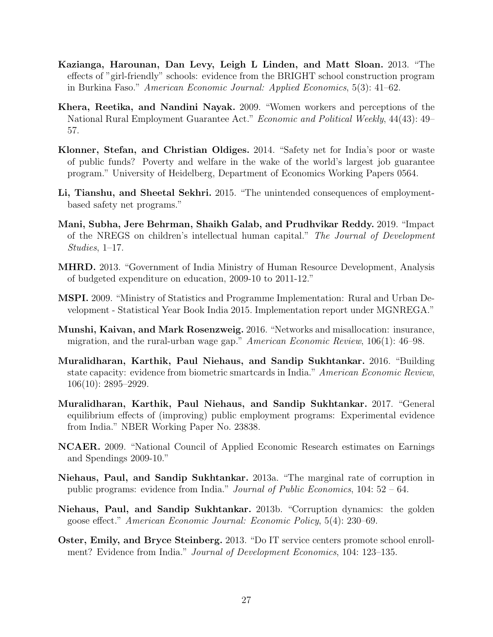- Kazianga, Harounan, Dan Levy, Leigh L Linden, and Matt Sloan. 2013. "The effects of "girl-friendly" schools: evidence from the BRIGHT school construction program in Burkina Faso." American Economic Journal: Applied Economics, 5(3): 41–62.
- Khera, Reetika, and Nandini Nayak. 2009. "Women workers and perceptions of the National Rural Employment Guarantee Act." Economic and Political Weekly, 44(43): 49– 57.
- Klonner, Stefan, and Christian Oldiges. 2014. "Safety net for India's poor or waste of public funds? Poverty and welfare in the wake of the world's largest job guarantee program." University of Heidelberg, Department of Economics Working Papers 0564.
- Li, Tianshu, and Sheetal Sekhri. 2015. "The unintended consequences of employmentbased safety net programs."
- Mani, Subha, Jere Behrman, Shaikh Galab, and Prudhvikar Reddy. 2019. "Impact of the NREGS on children's intellectual human capital." The Journal of Development Studies, 1–17.
- MHRD. 2013. "Government of India Ministry of Human Resource Development, Analysis of budgeted expenditure on education, 2009-10 to 2011-12."
- MSPI. 2009. "Ministry of Statistics and Programme Implementation: Rural and Urban Development - Statistical Year Book India 2015. Implementation report under MGNREGA."
- Munshi, Kaivan, and Mark Rosenzweig. 2016. "Networks and misallocation: insurance, migration, and the rural-urban wage gap." American Economic Review, 106(1): 46–98.
- Muralidharan, Karthik, Paul Niehaus, and Sandip Sukhtankar. 2016. "Building state capacity: evidence from biometric smartcards in India." American Economic Review, 106(10): 2895–2929.
- Muralidharan, Karthik, Paul Niehaus, and Sandip Sukhtankar. 2017. "General equilibrium effects of (improving) public employment programs: Experimental evidence from India." NBER Working Paper No. 23838.
- NCAER. 2009. "National Council of Applied Economic Research estimates on Earnings and Spendings 2009-10."
- Niehaus, Paul, and Sandip Sukhtankar. 2013a. "The marginal rate of corruption in public programs: evidence from India." Journal of Public Economics, 104: 52 – 64.
- Niehaus, Paul, and Sandip Sukhtankar. 2013b. "Corruption dynamics: the golden goose effect." American Economic Journal: Economic Policy, 5(4): 230–69.
- Oster, Emily, and Bryce Steinberg. 2013. "Do IT service centers promote school enrollment? Evidence from India." *Journal of Development Economics*, 104: 123–135.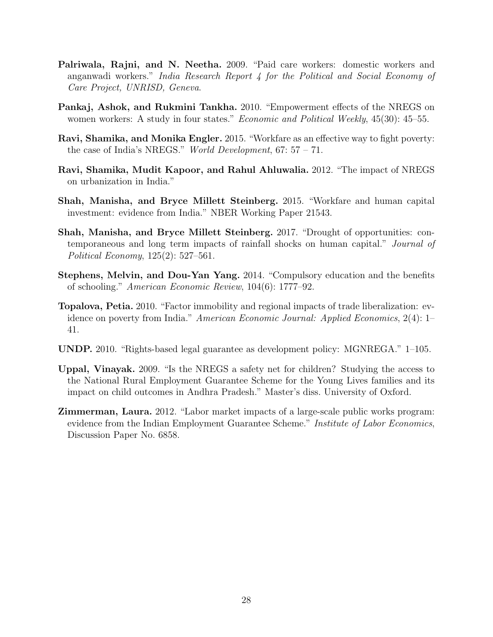- Palriwala, Rajni, and N. Neetha. 2009. "Paid care workers: domestic workers and anganwadi workers." India Research Report 4 for the Political and Social Economy of Care Project, UNRISD, Geneva.
- Pankaj, Ashok, and Rukmini Tankha. 2010. "Empowerment effects of the NREGS on women workers: A study in four states." *Economic and Political Weekly*, 45(30): 45–55.
- Ravi, Shamika, and Monika Engler. 2015. "Workfare as an effective way to fight poverty: the case of India's NREGS." World Development,  $67: 57 - 71$ .
- Ravi, Shamika, Mudit Kapoor, and Rahul Ahluwalia. 2012. "The impact of NREGS on urbanization in India."
- Shah, Manisha, and Bryce Millett Steinberg. 2015. "Workfare and human capital investment: evidence from India." NBER Working Paper 21543.
- Shah, Manisha, and Bryce Millett Steinberg. 2017. "Drought of opportunities: contemporaneous and long term impacts of rainfall shocks on human capital." Journal of Political Economy, 125(2): 527–561.
- Stephens, Melvin, and Dou-Yan Yang. 2014. "Compulsory education and the benefits of schooling." American Economic Review, 104(6): 1777–92.
- Topalova, Petia. 2010. "Factor immobility and regional impacts of trade liberalization: evidence on poverty from India." American Economic Journal: Applied Economics, 2(4): 1– 41.
- UNDP. 2010. "Rights-based legal guarantee as development policy: MGNREGA." 1–105.
- Uppal, Vinayak. 2009. "Is the NREGS a safety net for children? Studying the access to the National Rural Employment Guarantee Scheme for the Young Lives families and its impact on child outcomes in Andhra Pradesh." Master's diss. University of Oxford.
- Zimmerman, Laura. 2012. "Labor market impacts of a large-scale public works program: evidence from the Indian Employment Guarantee Scheme." *Institute of Labor Economics*, Discussion Paper No. 6858.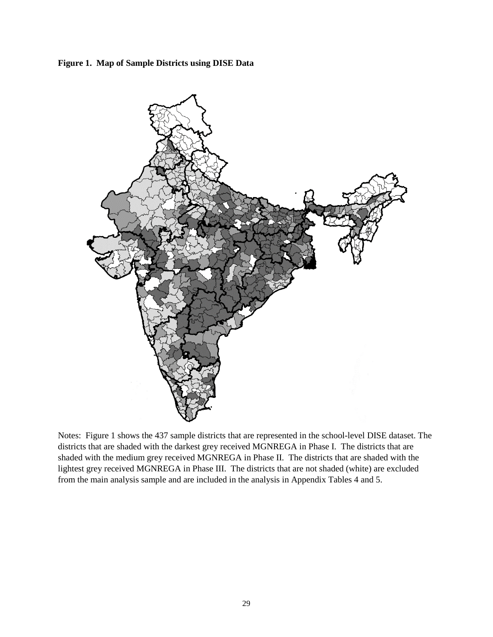**Figure 1. Map of Sample Districts using DISE Data**



Notes: Figure 1 shows the 437 sample districts that are represented in the school-level DISE dataset. The districts that are shaded with the darkest grey received MGNREGA in Phase I. The districts that are shaded with the medium grey received MGNREGA in Phase II. The districts that are shaded with the lightest grey received MGNREGA in Phase III. The districts that are not shaded (white) are excluded from the main analysis sample and are included in the analysis in Appendix Tables 4 and 5.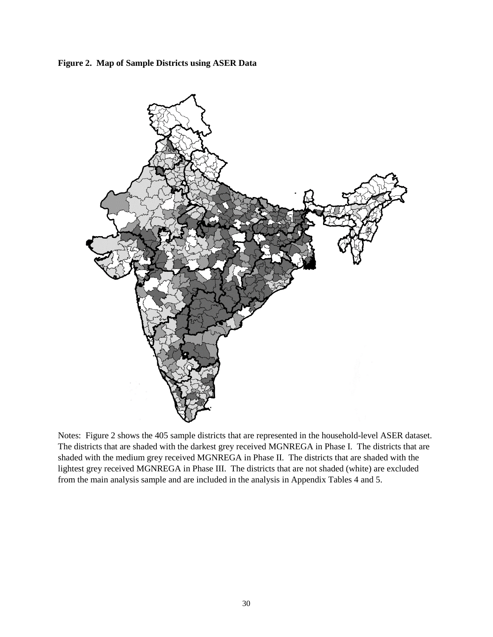**Figure 2. Map of Sample Districts using ASER Data**



Notes: Figure 2 shows the 405 sample districts that are represented in the household-level ASER dataset. The districts that are shaded with the darkest grey received MGNREGA in Phase I. The districts that are shaded with the medium grey received MGNREGA in Phase II. The districts that are shaded with the lightest grey received MGNREGA in Phase III. The districts that are not shaded (white) are excluded from the main analysis sample and are included in the analysis in Appendix Tables 4 and 5.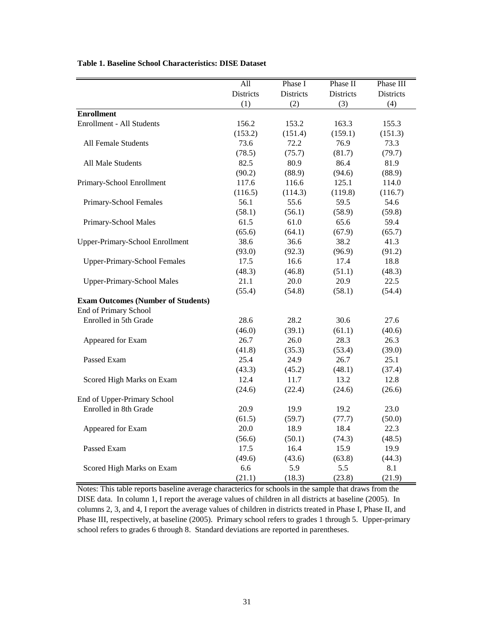|                                                                    | $\overline{All}$ | Phase I   | Phase II  | Phase III |
|--------------------------------------------------------------------|------------------|-----------|-----------|-----------|
|                                                                    | Districts        | Districts | Districts | Districts |
|                                                                    | (1)              | (2)       | (3)       | (4)       |
| <b>Enrollment</b>                                                  |                  |           |           |           |
| Enrollment - All Students                                          | 156.2            | 153.2     | 163.3     | 155.3     |
|                                                                    | (153.2)          | (151.4)   | (159.1)   | (151.3)   |
| All Female Students                                                | 73.6             | 72.2      | 76.9      | 73.3      |
|                                                                    | (78.5)           | (75.7)    | (81.7)    | (79.7)    |
| All Male Students                                                  | 82.5             | 80.9      | 86.4      | 81.9      |
|                                                                    | (90.2)           | (88.9)    | (94.6)    | (88.9)    |
| Primary-School Enrollment                                          | 117.6            | 116.6     | 125.1     | 114.0     |
|                                                                    | (116.5)          | (114.3)   | (119.8)   | (116.7)   |
| Primary-School Females                                             | 56.1             | 55.6      | 59.5      | 54.6      |
|                                                                    | (58.1)           | (56.1)    | (58.9)    | (59.8)    |
| Primary-School Males                                               | 61.5             | 61.0      | 65.6      | 59.4      |
|                                                                    | (65.6)           | (64.1)    | (67.9)    | (65.7)    |
| <b>Upper-Primary-School Enrollment</b>                             | 38.6             | 36.6      | 38.2      | 41.3      |
|                                                                    | (93.0)           | (92.3)    | (96.9)    | (91.2)    |
| <b>Upper-Primary-School Females</b>                                | 17.5             | 16.6      | 17.4      | 18.8      |
|                                                                    | (48.3)           | (46.8)    | (51.1)    | (48.3)    |
| <b>Upper-Primary-School Males</b>                                  | 21.1             | 20.0      | 20.9      | 22.5      |
|                                                                    | (55.4)           | (54.8)    | (58.1)    | (54.4)    |
| <b>Exam Outcomes (Number of Students)</b><br>End of Primary School |                  |           |           |           |
| Enrolled in 5th Grade                                              | 28.6             | 28.2      | 30.6      | 27.6      |
|                                                                    | (46.0)           | (39.1)    | (61.1)    | (40.6)    |
| Appeared for Exam                                                  | 26.7             | 26.0      | 28.3      | 26.3      |
|                                                                    | (41.8)           | (35.3)    | (53.4)    | (39.0)    |
| Passed Exam                                                        | 25.4             | 24.9      | 26.7      | 25.1      |
|                                                                    | (43.3)           | (45.2)    | (48.1)    | (37.4)    |
| Scored High Marks on Exam                                          | 12.4             | 11.7      | 13.2      | 12.8      |
|                                                                    | (24.6)           | (22.4)    | (24.6)    | (26.6)    |
| End of Upper-Primary School                                        |                  |           |           |           |
| Enrolled in 8th Grade                                              | 20.9             | 19.9      | 19.2      | 23.0      |
|                                                                    | (61.5)           | (59.7)    | (77.7)    | (50.0)    |
| Appeared for Exam                                                  | 20.0             | 18.9      | 18.4      | 22.3      |
|                                                                    | (56.6)           | (50.1)    | (74.3)    | (48.5)    |
| Passed Exam                                                        | 17.5             | 16.4      | 15.9      | 19.9      |
|                                                                    | (49.6)           | (43.6)    | (63.8)    | (44.3)    |
| Scored High Marks on Exam                                          | 6.6              | 5.9       | 5.5       | 8.1       |
|                                                                    | (21.1)           | (18.3)    | (23.8)    | (21.9)    |

# **Table 1. Baseline School Characteristics: DISE Dataset**

Notes: This table reports baseline average characterics for schools in the sample that draws from the DISE data. In column 1, I report the average values of children in all districts at baseline (2005). In columns 2, 3, and 4, I report the average values of children in districts treated in Phase I, Phase II, and Phase III, respectively, at baseline (2005). Primary school refers to grades 1 through 5. Upper-primary school refers to grades 6 through 8. Standard deviations are reported in parentheses.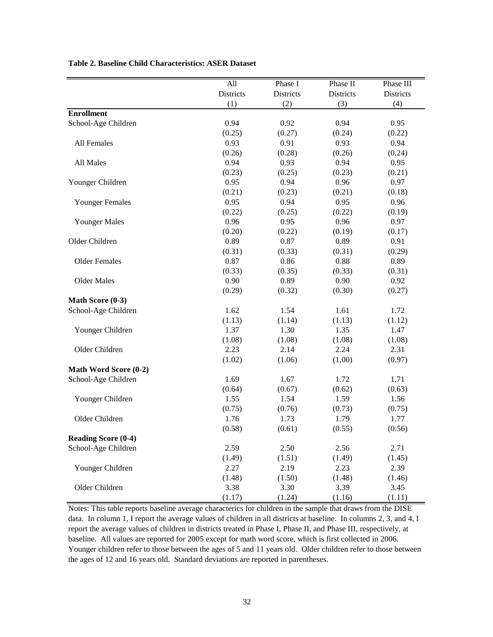|                            | All       | Phase I   | Phase II         | Phase III |
|----------------------------|-----------|-----------|------------------|-----------|
|                            | Districts | Districts | <b>Districts</b> | Districts |
|                            | (1)       | (2)       | (3)              | (4)       |
| <b>Enrollment</b>          |           |           |                  |           |
| School-Age Children        | 0.94      | 0.92      | 0.94             | 0.95      |
|                            | (0.25)    | (0.27)    | (0.24)           | (0.22)    |
| All Females                | 0.93      | 0.91      | 0.93             | 0.94      |
|                            | (0.26)    | (0.28)    | (0.26)           | (0.24)    |
| All Males                  | 0.94      | 0.93      | 0.94             | 0.95      |
|                            | (0.23)    | (0.25)    | (0.23)           | (0.21)    |
| Younger Children           | 0.95      | 0.94      | 0.96             | 0.97      |
|                            | (0.21)    | (0.23)    | (0.21)           | (0.18)    |
| <b>Younger Females</b>     | 0.95      | 0.94      | 0.95             | 0.96      |
|                            | (0.22)    | (0.25)    | (0.22)           | (0.19)    |
| <b>Younger Males</b>       | 0.96      | 0.95      | 0.96             | 0.97      |
|                            | (0.20)    | (0.22)    | (0.19)           | (0.17)    |
| Older Children             | 0.89      | 0.87      | 0.89             | 0.91      |
|                            | (0.31)    | (0.33)    | (0.31)           | (0.29)    |
| <b>Older Females</b>       | 0.87      | 0.86      | 0.88             | 0.89      |
|                            | (0.33)    | (0.35)    | (0.33)           | (0.31)    |
| <b>Older Males</b>         | 0.90      | 0.89      | 0.90             | 0.92      |
|                            | (0.29)    | (0.32)    | (0.30)           | (0.27)    |
| Math Score (0-3)           |           |           |                  |           |
| School-Age Children        | 1.62      | 1.54      | 1.61             | 1.72      |
|                            | (1.13)    | (1.14)    | (1.13)           | (1.12)    |
| Younger Children           | 1.37      | 1.30      | 1.35             | 1.47      |
|                            | (1.08)    | (1.08)    | (1.08)           | (1.08)    |
| Older Children             | 2.23      | 2.14      | 2.24             | 2.31      |
|                            | (1.02)    | (1.06)    | (1.00)           | (0.97)    |
| Math Word Score (0-2)      |           |           |                  |           |
| School-Age Children        | 1.69      | 1.67      | 1.72             | 1.71      |
|                            | (0.64)    | (0.67)    | (0.62)           | (0.63)    |
| Younger Children           | 1.55      | 1.54      | 1.59             | 1.56      |
|                            | (0.75)    | (0.76)    | (0.73)           | (0.75)    |
| Older Children             | 1.76      | 1.73      | 1.79             | 1.77      |
|                            | (0.58)    | (0.61)    | (0.55)           | (0.56)    |
| <b>Reading Score (0-4)</b> |           |           |                  |           |
| School-Age Children        | 2.59      | 2.50      | 2.56             | 2.71      |
|                            | (1.49)    | (1.51)    | (1.49)           | (1.45)    |
| Younger Children           | 2.27      | 2.19      | 2.23             | 2.39      |
|                            | (1.48)    | (1.50)    | (1.48)           | (1.46)    |
| Older Children             | 3.38      | 3.30      | 3.39             | 3.45      |
|                            | (1.17)    | (1.24)    | (1.16)           | (1.11)    |

### **Table 2. Baseline Child Characteristics: ASER Dataset**

Notes: This table reports baseline average characterics for children in the sample that draws from the DISE data. In column 1, I report the average values of children in all districts at baseline. In columns 2, 3, and 4, I report the average values of children in districts treated in Phase I, Phase II, and Phase III, respectively, at baseline. All values are reported for 2005 except for math word score, which is first collected in 2006. Younger children refer to those between the ages of 5 and 11 years old. Older children refer to those between the ages of 12 and 16 years old. Standard deviations are reported in parentheses.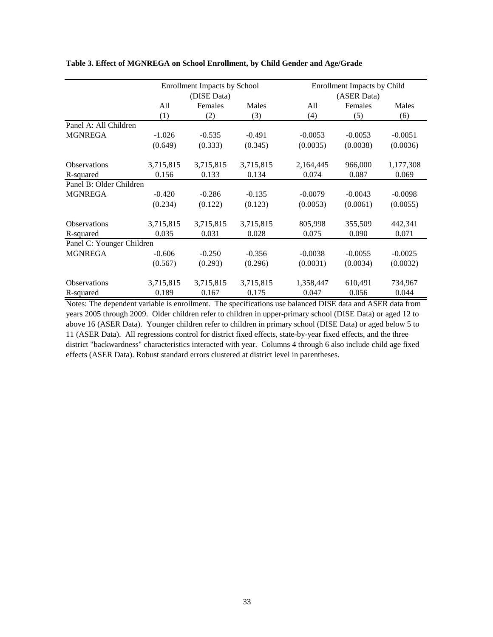|                           |           | <b>Enrollment Impacts by School</b> |           |           | Enrollment Impacts by Child |           |  |  |
|---------------------------|-----------|-------------------------------------|-----------|-----------|-----------------------------|-----------|--|--|
|                           |           | (DISE Data)                         |           |           | (ASER Data)                 |           |  |  |
|                           | All       | Females                             | Males     | All       | Females                     | Males     |  |  |
|                           | (1)       | (2)                                 | (3)       | (4)       | (5)                         | (6)       |  |  |
| Panel A: All Children     |           |                                     |           |           |                             |           |  |  |
| <b>MGNREGA</b>            | $-1.026$  | $-0.535$                            | $-0.491$  | $-0.0053$ | $-0.0053$                   | $-0.0051$ |  |  |
|                           | (0.649)   | (0.333)                             | (0.345)   | (0.0035)  | (0.0038)                    | (0.0036)  |  |  |
| <b>Observations</b>       | 3,715,815 | 3,715,815                           | 3,715,815 | 2,164,445 | 966,000                     | 1,177,308 |  |  |
| R-squared                 | 0.156     | 0.133                               | 0.134     | 0.074     | 0.087                       | 0.069     |  |  |
| Panel B: Older Children   |           |                                     |           |           |                             |           |  |  |
| <b>MGNREGA</b>            | $-0.420$  | $-0.286$                            | $-0.135$  | $-0.0079$ | $-0.0043$                   | $-0.0098$ |  |  |
|                           | (0.234)   | (0.122)                             | (0.123)   | (0.0053)  | (0.0061)                    | (0.0055)  |  |  |
| <b>Observations</b>       | 3,715,815 | 3,715,815                           | 3,715,815 | 805,998   | 355,509                     | 442,341   |  |  |
| R-squared                 | 0.035     | 0.031                               | 0.028     | 0.075     | 0.090                       | 0.071     |  |  |
| Panel C: Younger Children |           |                                     |           |           |                             |           |  |  |
| <b>MGNREGA</b>            | $-0.606$  | $-0.250$                            | $-0.356$  | $-0.0038$ | $-0.0055$                   | $-0.0025$ |  |  |
|                           | (0.567)   | (0.293)                             | (0.296)   | (0.0031)  | (0.0034)                    | (0.0032)  |  |  |
| <b>Observations</b>       | 3,715,815 | 3,715,815                           | 3,715,815 | 1,358,447 | 610,491                     | 734,967   |  |  |
| R-squared                 | 0.189     | 0.167                               | 0.175     | 0.047     | 0.056                       | 0.044     |  |  |

**Table 3. Effect of MGNREGA on School Enrollment, by Child Gender and Age/Grade**

Notes: The dependent variable is enrollment. The specifications use balanced DISE data and ASER data from years 2005 through 2009. Older children refer to children in upper-primary school (DISE Data) or aged 12 to above 16 (ASER Data). Younger children refer to children in primary school (DISE Data) or aged below 5 to 11 (ASER Data). All regressions control for district fixed effects, state-by-year fixed effects, and the three district "backwardness" characteristics interacted with year. Columns 4 through 6 also include child age fixed effects (ASER Data). Robust standard errors clustered at district level in parentheses.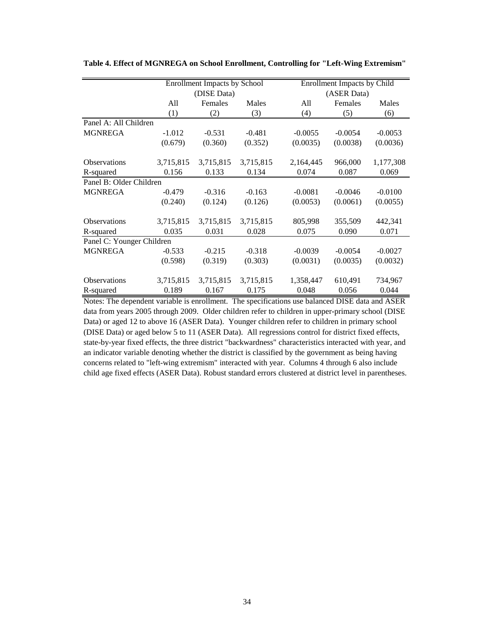|                           |           | <b>Enrollment Impacts by School</b> |           |           | <b>Enrollment Impacts by Child</b> |           |  |  |
|---------------------------|-----------|-------------------------------------|-----------|-----------|------------------------------------|-----------|--|--|
|                           |           | (DISE Data)                         |           |           | (ASER Data)                        |           |  |  |
|                           | All       | Females                             | Males     | All       | Females                            | Males     |  |  |
|                           | (1)       | (2)                                 | (3)       | (4)       | (5)                                | (6)       |  |  |
| Panel A: All Children     |           |                                     |           |           |                                    |           |  |  |
| <b>MGNREGA</b>            | $-1.012$  | $-0.531$                            | $-0.481$  | $-0.0055$ | $-0.0054$                          | $-0.0053$ |  |  |
|                           | (0.679)   | (0.360)                             | (0.352)   | (0.0035)  | (0.0038)                           | (0.0036)  |  |  |
| <b>Observations</b>       | 3,715,815 | 3,715,815                           | 3,715,815 | 2,164,445 | 966,000                            | 1,177,308 |  |  |
| R-squared                 | 0.156     | 0.133                               | 0.134     | 0.074     | 0.087                              | 0.069     |  |  |
| Panel B: Older Children   |           |                                     |           |           |                                    |           |  |  |
| <b>MGNREGA</b>            | $-0.479$  | $-0.316$                            | $-0.163$  | $-0.0081$ | $-0.0046$                          | $-0.0100$ |  |  |
|                           | (0.240)   | (0.124)                             | (0.126)   | (0.0053)  | (0.0061)                           | (0.0055)  |  |  |
| <b>Observations</b>       | 3,715,815 | 3,715,815                           | 3,715,815 | 805,998   | 355,509                            | 442,341   |  |  |
| R-squared                 | 0.035     | 0.031                               | 0.028     | 0.075     | 0.090                              | 0.071     |  |  |
| Panel C: Younger Children |           |                                     |           |           |                                    |           |  |  |
| <b>MGNREGA</b>            | $-0.533$  | $-0.215$                            | $-0.318$  | $-0.0039$ | $-0.0054$                          | $-0.0027$ |  |  |
|                           | (0.598)   | (0.319)                             | (0.303)   | (0.0031)  | (0.0035)                           | (0.0032)  |  |  |
| <b>Observations</b>       | 3,715,815 | 3,715,815                           | 3,715,815 | 1,358,447 | 610,491                            | 734,967   |  |  |
| R-squared                 | 0.189     | 0.167                               | 0.175     | 0.048     | 0.056                              | 0.044     |  |  |

**Table 4. Effect of MGNREGA on School Enrollment, Controlling for "Left-Wing Extremism"**

Notes: The dependent variable is enrollment. The specifications use balanced DISE data and ASER data from years 2005 through 2009. Older children refer to children in upper-primary school (DISE Data) or aged 12 to above 16 (ASER Data). Younger children refer to children in primary school (DISE Data) or aged below 5 to 11 (ASER Data). All regressions control for district fixed effects, state-by-year fixed effects, the three district "backwardness" characteristics interacted with year, and an indicator variable denoting whether the district is classified by the government as being having concerns related to "left-wing extremism" interacted with year. Columns 4 through 6 also include child age fixed effects (ASER Data). Robust standard errors clustered at district level in parentheses.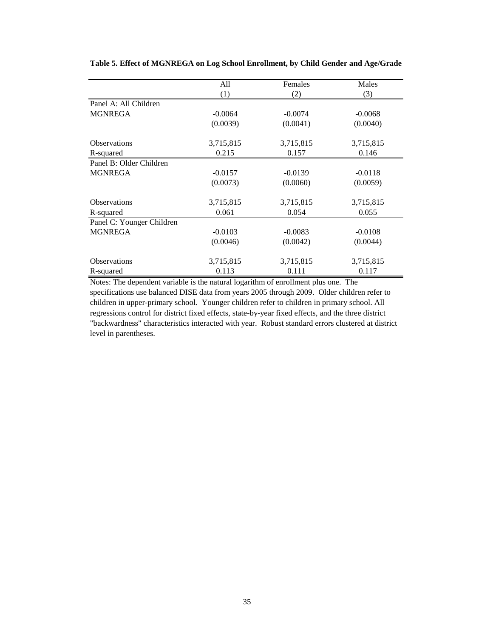|                           | All       | Females   | Males     |
|---------------------------|-----------|-----------|-----------|
|                           | (1)       | (2)       | (3)       |
| Panel A: All Children     |           |           |           |
| <b>MGNREGA</b>            | $-0.0064$ | $-0.0074$ | $-0.0068$ |
|                           | (0.0039)  | (0.0041)  | (0.0040)  |
| <b>Observations</b>       | 3,715,815 | 3,715,815 | 3,715,815 |
| R-squared                 | 0.215     | 0.157     | 0.146     |
| Panel B: Older Children   |           |           |           |
| <b>MGNREGA</b>            | $-0.0157$ | $-0.0139$ | $-0.0118$ |
|                           | (0.0073)  | (0.0060)  | (0.0059)  |
| <b>Observations</b>       | 3,715,815 | 3,715,815 | 3,715,815 |
| R-squared                 | 0.061     | 0.054     | 0.055     |
| Panel C: Younger Children |           |           |           |
| <b>MGNREGA</b>            | $-0.0103$ | $-0.0083$ | $-0.0108$ |
|                           | (0.0046)  | (0.0042)  | (0.0044)  |
| <b>Observations</b>       | 3,715,815 | 3,715,815 | 3,715,815 |
| R-squared                 | 0.113     | 0.111     | 0.117     |

**Table 5. Effect of MGNREGA on Log School Enrollment, by Child Gender and Age/Grade**

Notes: The dependent variable is the natural logarithm of enrollment plus one. The specifications use balanced DISE data from years 2005 through 2009. Older children refer to children in upper-primary school. Younger children refer to children in primary school. All regressions control for district fixed effects, state-by-year fixed effects, and the three district "backwardness" characteristics interacted with year. Robust standard errors clustered at district level in parentheses.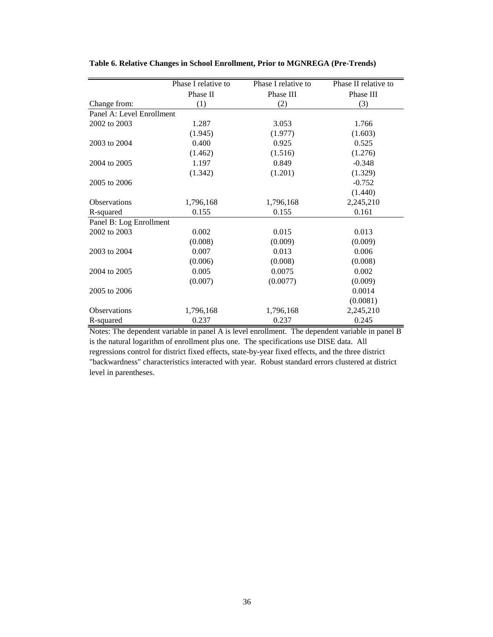|                           | Phase I relative to | Phase I relative to | Phase II relative to |
|---------------------------|---------------------|---------------------|----------------------|
|                           | Phase II            | Phase III           | Phase III            |
| Change from:              | (1)                 | (2)                 | (3)                  |
| Panel A: Level Enrollment |                     |                     |                      |
| 2002 to 2003              | 1.287               | 3.053               | 1.766                |
|                           | (1.945)             | (1.977)             | (1.603)              |
| 2003 to 2004              | 0.400               | 0.925               | 0.525                |
|                           | (1.462)             | (1.516)             | (1.276)              |
| 2004 to 2005              | 1.197               | 0.849               | $-0.348$             |
|                           | (1.342)             | (1.201)             | (1.329)              |
| 2005 to 2006              |                     |                     | $-0.752$             |
|                           |                     |                     | (1.440)              |
| <b>Observations</b>       | 1,796,168           | 1,796,168           | 2,245,210            |
| R-squared                 | 0.155               | 0.155               | 0.161                |
| Panel B: Log Enrollment   |                     |                     |                      |
| 2002 to 2003              | 0.002               | 0.015               | 0.013                |
|                           | (0.008)             | (0.009)             | (0.009)              |
| 2003 to 2004              | 0.007               | 0.013               | 0.006                |
|                           | (0.006)             | (0.008)             | (0.008)              |
| 2004 to 2005              | 0.005               | 0.0075              | 0.002                |
|                           | (0.007)             | (0.0077)            | (0.009)              |
| 2005 to 2006              |                     |                     | 0.0014               |
|                           |                     |                     | (0.0081)             |
| <b>Observations</b>       | 1,796,168           | 1,796,168           | 2,245,210            |
| R-squared                 | 0.237               | 0.237               | 0.245                |

**Table 6. Relative Changes in School Enrollment, Prior to MGNREGA (Pre-Trends)**

Notes: The dependent variable in panel A is level enrollment. The dependent variable in panel B is the natural logarithm of enrollment plus one. The specifications use DISE data. All regressions control for district fixed effects, state-by-year fixed effects, and the three district "backwardness" characteristics interacted with year. Robust standard errors clustered at district level in parentheses.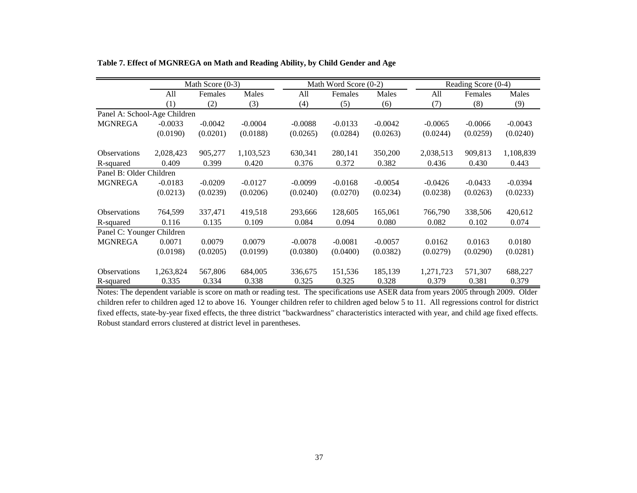|                              |           | Math Score (0-3) |           |           | Math Word Score (0-2) |           |           | Reading Score (0-4) |           |  |
|------------------------------|-----------|------------------|-----------|-----------|-----------------------|-----------|-----------|---------------------|-----------|--|
|                              | All       | Females          | Males     | All       | Females               | Males     | All       | Females             | Males     |  |
|                              | (1)       | (2)              | (3)       | (4)       | (5)                   | (6)       | (7)       | (8)                 | (9)       |  |
| Panel A: School-Age Children |           |                  |           |           |                       |           |           |                     |           |  |
| <b>MGNREGA</b>               | $-0.0033$ | $-0.0042$        | $-0.0004$ | $-0.0088$ | $-0.0133$             | $-0.0042$ | $-0.0065$ | $-0.0066$           | $-0.0043$ |  |
|                              | (0.0190)  | (0.0201)         | (0.0188)  | (0.0265)  | (0.0284)              | (0.0263)  | (0.0244)  | (0.0259)            | (0.0240)  |  |
| <b>Observations</b>          | 2,028,423 | 905,277          | 1,103,523 | 630,341   | 280,141               | 350,200   | 2,038,513 | 909,813             | 1,108,839 |  |
| R-squared                    | 0.409     | 0.399            | 0.420     | 0.376     | 0.372                 | 0.382     | 0.436     | 0.430               | 0.443     |  |
| Panel B: Older Children      |           |                  |           |           |                       |           |           |                     |           |  |
| <b>MGNREGA</b>               | $-0.0183$ | $-0.0209$        | $-0.0127$ | $-0.0099$ | $-0.0168$             | $-0.0054$ | $-0.0426$ | $-0.0433$           | $-0.0394$ |  |
|                              | (0.0213)  | (0.0239)         | (0.0206)  | (0.0240)  | (0.0270)              | (0.0234)  | (0.0238)  | (0.0263)            | (0.0233)  |  |
| <b>Observations</b>          | 764,599   | 337,471          | 419,518   | 293,666   | 128,605               | 165,061   | 766,790   | 338,506             | 420,612   |  |
| R-squared                    | 0.116     | 0.135            | 0.109     | 0.084     | 0.094                 | 0.080     | 0.082     | 0.102               | 0.074     |  |
| Panel C: Younger Children    |           |                  |           |           |                       |           |           |                     |           |  |
| <b>MGNREGA</b>               | 0.0071    | 0.0079           | 0.0079    | $-0.0078$ | $-0.0081$             | $-0.0057$ | 0.0162    | 0.0163              | 0.0180    |  |
|                              | (0.0198)  | (0.0205)         | (0.0199)  | (0.0380)  | (0.0400)              | (0.0382)  | (0.0279)  | (0.0290)            | (0.0281)  |  |
| <b>Observations</b>          | 1,263,824 | 567,806          | 684,005   | 336,675   | 151,536               | 185,139   | 1,271,723 | 571,307             | 688,227   |  |
| R-squared                    | 0.335     | 0.334            | 0.338     | 0.325     | 0.325                 | 0.328     | 0.379     | 0.381               | 0.379     |  |

**Table 7. Effect of MGNREGA on Math and Reading Ability, by Child Gender and Age**

Notes: The dependent variable is score on math or reading test. The specifications use ASER data from years 2005 through 2009. Older children refer to children aged 12 to above 16. Younger children refer to children aged below 5 to 11. All regressions control for district fixed effects, state-by-year fixed effects, the three district "backwardness" characteristics interacted with year, and child age fixed effects. Robust standard errors clustered at district level in parentheses.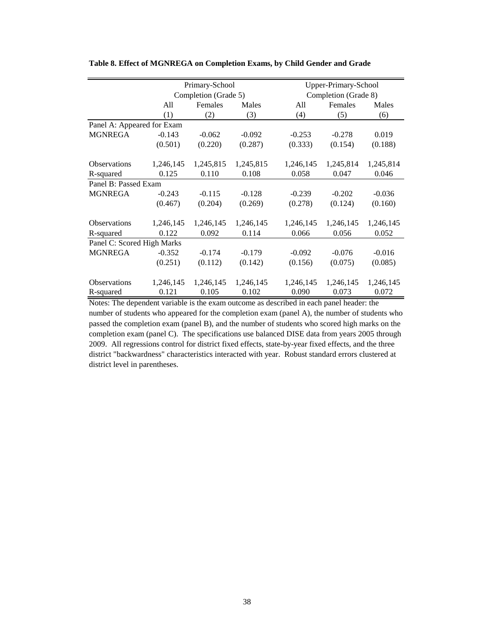|                            |           | Primary-School       |           | Upper-Primary-School |                      |           |  |  |
|----------------------------|-----------|----------------------|-----------|----------------------|----------------------|-----------|--|--|
|                            |           | Completion (Grade 5) |           |                      | Completion (Grade 8) |           |  |  |
|                            | All       | Females              | Males     | All                  | Females              | Males     |  |  |
|                            | (1)       | (2)                  | (3)       | (4)                  | (5)                  | (6)       |  |  |
| Panel A: Appeared for Exam |           |                      |           |                      |                      |           |  |  |
| <b>MGNREGA</b>             | $-0.143$  | $-0.062$             | $-0.092$  | $-0.253$             | $-0.278$             | 0.019     |  |  |
|                            | (0.501)   | (0.220)              | (0.287)   | (0.333)              | (0.154)              | (0.188)   |  |  |
| <b>Observations</b>        | 1,246,145 | 1,245,815            | 1,245,815 | 1,246,145            | 1,245,814            | 1,245,814 |  |  |
| R-squared                  | 0.125     | 0.110                | 0.108     | 0.058                | 0.047                | 0.046     |  |  |
| Panel B: Passed Exam       |           |                      |           |                      |                      |           |  |  |
| <b>MGNREGA</b>             | $-0.243$  | $-0.115$             | $-0.128$  | $-0.239$             | $-0.202$             | $-0.036$  |  |  |
|                            | (0.467)   | (0.204)              | (0.269)   | (0.278)              | (0.124)              | (0.160)   |  |  |
| <b>Observations</b>        | 1,246,145 | 1,246,145            | 1,246,145 | 1,246,145            | 1,246,145            | 1,246,145 |  |  |
| R-squared                  | 0.122     | 0.092                | 0.114     | 0.066                | 0.056                | 0.052     |  |  |
| Panel C: Scored High Marks |           |                      |           |                      |                      |           |  |  |
| <b>MGNREGA</b>             | $-0.352$  | $-0.174$             | $-0.179$  | $-0.092$             | $-0.076$             | $-0.016$  |  |  |
|                            | (0.251)   | (0.112)              | (0.142)   | (0.156)              | (0.075)              | (0.085)   |  |  |
| <b>Observations</b>        | 1,246,145 | 1,246,145            | 1,246,145 | 1,246,145            | 1,246,145            | 1,246,145 |  |  |
| R-squared                  | 0.121     | 0.105                | 0.102     | 0.090                | 0.073                | 0.072     |  |  |

**Table 8. Effect of MGNREGA on Completion Exams, by Child Gender and Grade**

Notes: The dependent variable is the exam outcome as described in each panel header: the number of students who appeared for the completion exam (panel A), the number of students who passed the completion exam (panel B), and the number of students who scored high marks on the completion exam (panel C). The specifications use balanced DISE data from years 2005 through 2009. All regressions control for district fixed effects, state-by-year fixed effects, and the three district "backwardness" characteristics interacted with year. Robust standard errors clustered at district level in parentheses.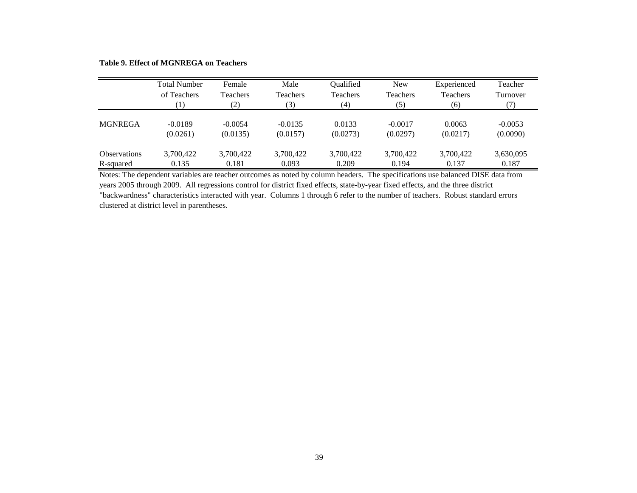**Table 9. Effect of MGNREGA on Teachers**

|                     | <b>Total Number</b> | Female          | Male      | Qualified | <b>New</b> | Experienced | Teacher   |
|---------------------|---------------------|-----------------|-----------|-----------|------------|-------------|-----------|
|                     | of Teachers         | <b>Teachers</b> | Teachers  | Teachers  | Teachers   | Teachers    | Turnover  |
|                     | (1)                 | (2)             | (3)       | (4)       | (5)        | (6)         | (7)       |
| <b>MGNREGA</b>      | $-0.0189$           | $-0.0054$       | $-0.0135$ | 0.0133    | $-0.0017$  | 0.0063      | $-0.0053$ |
|                     | (0.0261)            | (0.0135)        | (0.0157)  | (0.0273)  | (0.0297)   | (0.0217)    | (0.0090)  |
| <b>Observations</b> | 3,700,422           | 3,700,422       | 3,700,422 | 3,700,422 | 3,700,422  | 3,700,422   | 3,630,095 |
| R-squared           | 0.135               | 0.181           | 0.093     | 0.209     | 0.194      | 0.137       | 0.187     |

Notes: The dependent variables are teacher outcomes as noted by column headers. The specifications use balanced DISE data from years 2005 through 2009. All regressions control for district fixed effects, state-by-year fixed effects, and the three district "backwardness" characteristics interacted with year. Columns 1 through 6 refer to the number of teachers. Robust standard errors clustered at district level in parentheses.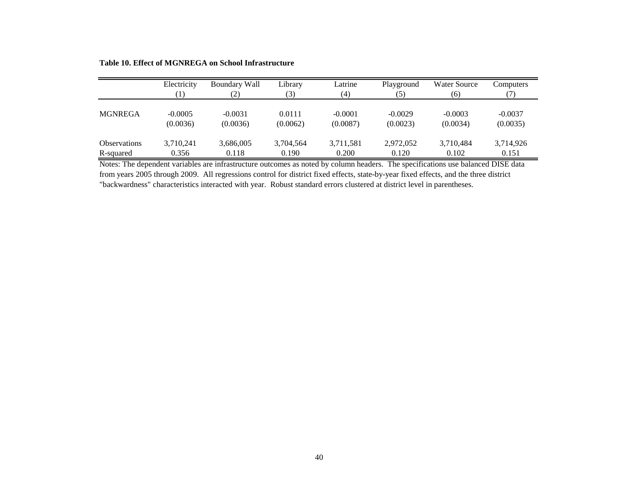**Table 10. Effect of MGNREGA on School Infrastructure**

|                     | Electricity           | <b>Boundary Wall</b>  | Library            | Latrine               | Playground            | <b>Water Source</b>   | Computers             |
|---------------------|-----------------------|-----------------------|--------------------|-----------------------|-----------------------|-----------------------|-----------------------|
|                     |                       | (2)                   | (3)                | (4)                   | (5)                   | (6)                   | 71                    |
| <b>MGNREGA</b>      | $-0.0005$<br>(0.0036) | $-0.0031$<br>(0.0036) | 0.0111<br>(0.0062) | $-0.0001$<br>(0.0087) | $-0.0029$<br>(0.0023) | $-0.0003$<br>(0.0034) | $-0.0037$<br>(0.0035) |
| <b>Observations</b> | 3,710,241             | 3,686,005             | 3,704,564          | 3,711,581             | 2,972,052             | 3,710,484             | 3,714,926             |
| R-squared           | 0.356                 | 0.118                 | 0.190              | 0.200                 | 0.120                 | 0.102                 | 0.151                 |

Notes: The dependent variables are infrastructure outcomes as noted by column headers. The specifications use balanced DISE data from years 2005 through 2009. All regressions control for district fixed effects, state-by-year fixed effects, and the three district "backwardness" characteristics interacted with year. Robust standard errors clustered at district level in parentheses.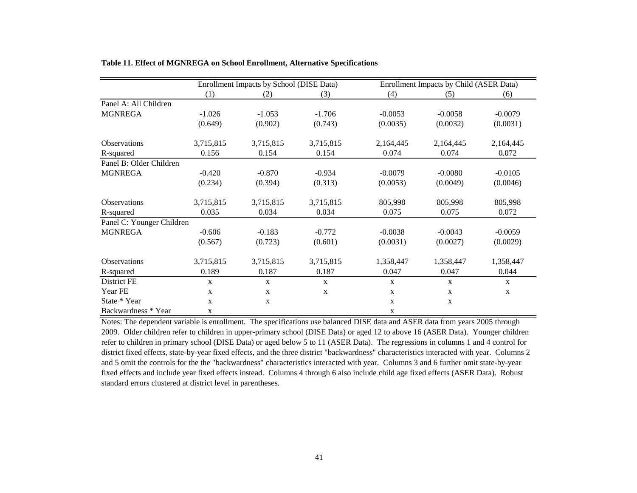|                           |           | Enrollment Impacts by School (DISE Data) |           |             | Enrollment Impacts by Child (ASER Data) |              |
|---------------------------|-----------|------------------------------------------|-----------|-------------|-----------------------------------------|--------------|
|                           | (1)       | (2)                                      | (3)       | (4)         | (5)                                     | (6)          |
| Panel A: All Children     |           |                                          |           |             |                                         |              |
| <b>MGNREGA</b>            | $-1.026$  | $-1.053$                                 | $-1.706$  | $-0.0053$   | $-0.0058$                               | $-0.0079$    |
|                           | (0.649)   | (0.902)                                  | (0.743)   | (0.0035)    | (0.0032)                                | (0.0031)     |
| <b>Observations</b>       | 3,715,815 | 3,715,815                                | 3,715,815 | 2,164,445   | 2,164,445                               | 2,164,445    |
| R-squared                 | 0.156     | 0.154                                    | 0.154     | 0.074       | 0.074                                   | 0.072        |
| Panel B: Older Children   |           |                                          |           |             |                                         |              |
| <b>MGNREGA</b>            | $-0.420$  | $-0.870$                                 | $-0.934$  | $-0.0079$   | $-0.0080$                               | $-0.0105$    |
|                           | (0.234)   | (0.394)                                  | (0.313)   | (0.0053)    | (0.0049)                                | (0.0046)     |
| <b>Observations</b>       | 3,715,815 | 3,715,815                                | 3,715,815 | 805,998     | 805,998                                 | 805,998      |
| R-squared                 | 0.035     | 0.034                                    | 0.034     | 0.075       | 0.075                                   | 0.072        |
| Panel C: Younger Children |           |                                          |           |             |                                         |              |
| <b>MGNREGA</b>            | $-0.606$  | $-0.183$                                 | $-0.772$  | $-0.0038$   | $-0.0043$                               | $-0.0059$    |
|                           | (0.567)   | (0.723)                                  | (0.601)   | (0.0031)    | (0.0027)                                | (0.0029)     |
| Observations              | 3,715,815 | 3,715,815                                | 3,715,815 | 1,358,447   | 1,358,447                               | 1,358,447    |
| R-squared                 | 0.189     | 0.187                                    | 0.187     | 0.047       | 0.047                                   | 0.044        |
| District FE               | X         | $\mathbf{X}$                             | X         | X           | $\mathbf{X}$                            | $\mathbf{X}$ |
| Year FE                   | X         | $\mathbf{x}$                             | X         | X           | $\mathbf X$                             | $\mathbf{X}$ |
| State * Year              | X         | X                                        |           | X           | $\mathbf X$                             |              |
| Backwardness * Year       | X         |                                          |           | $\mathbf X$ |                                         |              |

**Table 11. Effect of MGNREGA on School Enrollment, Alternative Specifications**

Notes: The dependent variable is enrollment. The specifications use balanced DISE data and ASER data from years 2005 through 2009. Older children refer to children in upper-primary school (DISE Data) or aged 12 to above 16 (ASER Data). Younger children refer to children in primary school (DISE Data) or aged below 5 to 11 (ASER Data). The regressions in columns 1 and 4 control for district fixed effects, state-by-year fixed effects, and the three district "backwardness" characteristics interacted with year. Columns 2 and 5 omit the controls for the the "backwardness" characteristics interacted with year. Columns 3 and 6 further omit state-by-year fixed effects and include year fixed effects instead. Columns 4 through 6 also include child age fixed effects (ASER Data). Robust standard errors clustered at district level in parentheses.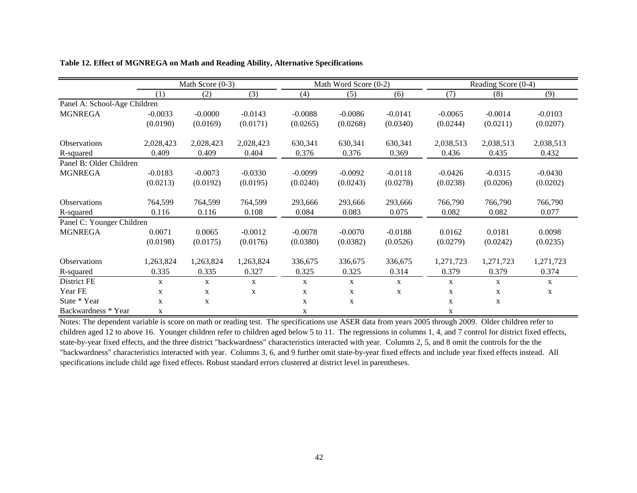|                              |              | Math Score $(0-3)$ |           |              | Math Word Score (0-2) |              |           | Reading Score (0-4) |              |  |
|------------------------------|--------------|--------------------|-----------|--------------|-----------------------|--------------|-----------|---------------------|--------------|--|
|                              | (1)          | (2)                | (3)       | (4)          | (5)                   | (6)          | (7)       | (8)                 | (9)          |  |
| Panel A: School-Age Children |              |                    |           |              |                       |              |           |                     |              |  |
| <b>MGNREGA</b>               | $-0.0033$    | $-0.0000$          | $-0.0143$ | $-0.0088$    | $-0.0086$             | $-0.0141$    | $-0.0065$ | $-0.0014$           | $-0.0103$    |  |
|                              | (0.0190)     | (0.0169)           | (0.0171)  | (0.0265)     | (0.0268)              | (0.0340)     | (0.0244)  | (0.0211)            | (0.0207)     |  |
| Observations                 | 2,028,423    | 2,028,423          | 2,028,423 | 630,341      | 630,341               | 630,341      | 2,038,513 | 2,038,513           | 2,038,513    |  |
| R-squared                    | 0.409        | 0.409              | 0.404     | 0.376        | 0.376                 | 0.369        | 0.436     | 0.435               | 0.432        |  |
| Panel B: Older Children      |              |                    |           |              |                       |              |           |                     |              |  |
| <b>MGNREGA</b>               | $-0.0183$    | $-0.0073$          | $-0.0330$ | $-0.0099$    | $-0.0092$             | $-0.0118$    | $-0.0426$ | $-0.0315$           | $-0.0430$    |  |
|                              | (0.0213)     | (0.0192)           | (0.0195)  | (0.0240)     | (0.0243)              | (0.0278)     | (0.0238)  | (0.0206)            | (0.0202)     |  |
| Observations                 | 764,599      | 764,599            | 764,599   | 293,666      | 293,666               | 293,666      | 766,790   | 766,790             | 766,790      |  |
| R-squared                    | 0.116        | 0.116              | 0.108     | 0.084        | 0.083                 | 0.075        | 0.082     | 0.082               | 0.077        |  |
| Panel C: Younger Children    |              |                    |           |              |                       |              |           |                     |              |  |
| <b>MGNREGA</b>               | 0.0071       | 0.0065             | $-0.0012$ | $-0.0078$    | $-0.0070$             | $-0.0188$    | 0.0162    | 0.0181              | 0.0098       |  |
|                              | (0.0198)     | (0.0175)           | (0.0176)  | (0.0380)     | (0.0382)              | (0.0526)     | (0.0279)  | (0.0242)            | (0.0235)     |  |
| <b>Observations</b>          | 1,263,824    | 1,263,824          | 1,263,824 | 336,675      | 336,675               | 336,675      | 1,271,723 | 1,271,723           | 1,271,723    |  |
| R-squared                    | 0.335        | 0.335              | 0.327     | 0.325        | 0.325                 | 0.314        | 0.379     | 0.379               | 0.374        |  |
| District FE                  | $\mathbf{X}$ | $\mathbf{X}$       | X         | $\mathbf{X}$ | $\mathbf{X}$          | $\mathbf{X}$ | X         | X                   | $\mathbf{X}$ |  |
| Year FE                      | X            | X                  | X         | X            | X                     | X            | X         | X                   | X            |  |
| State * Year                 | X            | X                  |           | X            | X                     |              | X         | X                   |              |  |
| Backwardness * Year          | $\mathbf X$  |                    |           | X            |                       |              | X         |                     |              |  |

**Table 12. Effect of MGNREGA on Math and Reading Ability, Alternative Specifications**

Notes: The dependent variable is score on math or reading test. The specifications use ASER data from years 2005 through 2009. Older children refer to children aged 12 to above 16. Younger children refer to children aged below 5 to 11. The regressions in columns 1, 4, and 7 control for district fixed effects, state-by-year fixed effects, and the three district "backwardness" characteristics interacted with year. Columns 2, 5, and 8 omit the controls for the the "backwardness" characteristics interacted with year. Columns 3, 6, and 9 further omit state-by-year fixed effects and include year fixed effects instead. All specifications include child age fixed effects. Robust standard errors clustered at district level in parentheses.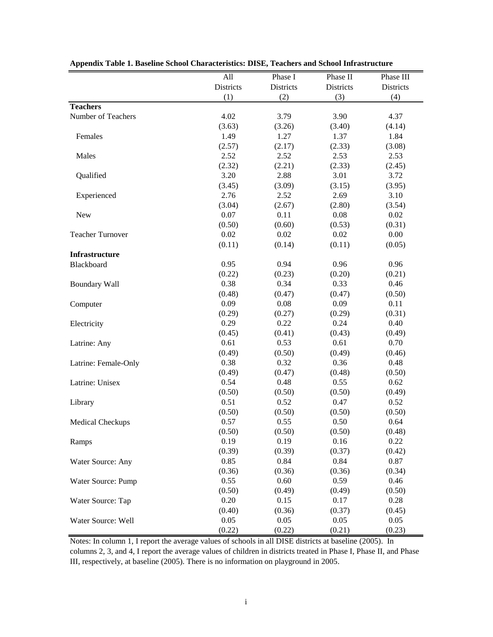|                         | All       | Phase I   | Phase II  | Phase III |
|-------------------------|-----------|-----------|-----------|-----------|
|                         | Districts | Districts | Districts | Districts |
|                         | (1)       | (2)       | (3)       | (4)       |
| <b>Teachers</b>         |           |           |           |           |
| Number of Teachers      | 4.02      | 3.79      | 3.90      | 4.37      |
|                         | (3.63)    | (3.26)    | (3.40)    | (4.14)    |
| Females                 | 1.49      | 1.27      | 1.37      | 1.84      |
|                         | (2.57)    | (2.17)    | (2.33)    | (3.08)    |
| Males                   | 2.52      | 2.52      | 2.53      | 2.53      |
|                         | (2.32)    | (2.21)    | (2.33)    | (2.45)    |
| Qualified               | 3.20      | 2.88      | 3.01      | 3.72      |
|                         | (3.45)    | (3.09)    | (3.15)    | (3.95)    |
| Experienced             | 2.76      | 2.52      | 2.69      | 3.10      |
|                         | (3.04)    | (2.67)    | (2.80)    | (3.54)    |
| <b>New</b>              | 0.07      | 0.11      | 0.08      | 0.02      |
|                         | (0.50)    | (0.60)    | (0.53)    | (0.31)    |
| <b>Teacher Turnover</b> | 0.02      | 0.02      | 0.02      | 0.00      |
|                         | (0.11)    | (0.14)    | (0.11)    | (0.05)    |
| Infrastructure          |           |           |           |           |
| Blackboard              | 0.95      | 0.94      | 0.96      | 0.96      |
|                         | (0.22)    | (0.23)    | (0.20)    | (0.21)    |
| <b>Boundary Wall</b>    | 0.38      | 0.34      | 0.33      | 0.46      |
|                         | (0.48)    | (0.47)    | (0.47)    | (0.50)    |
| Computer                | 0.09      | 0.08      | 0.09      | 0.11      |
|                         | (0.29)    | (0.27)    | (0.29)    | (0.31)    |
| Electricity             | 0.29      | 0.22      | 0.24      | 0.40      |
|                         | (0.45)    | (0.41)    | (0.43)    | (0.49)    |
| Latrine: Any            | 0.61      | 0.53      | 0.61      | 0.70      |
|                         | (0.49)    | (0.50)    | (0.49)    | (0.46)    |
| Latrine: Female-Only    | 0.38      | 0.32      | 0.36      | 0.48      |
|                         | (0.49)    | (0.47)    | (0.48)    | (0.50)    |
| Latrine: Unisex         | 0.54      | 0.48      | 0.55      | 0.62      |
|                         | (0.50)    | (0.50)    | (0.50)    | (0.49)    |
| Library                 | 0.51      | 0.52      | 0.47      | 0.52      |
|                         | (0.50)    | (0.50)    | (0.50)    | (0.50)    |
| Medical Checkups        | 0.57      | 0.55      | 0.50      | 0.64      |
|                         | (0.50)    | (0.50)    | (0.50)    | (0.48)    |
| Ramps                   | 0.19      | 0.19      | 0.16      | 0.22      |
|                         | (0.39)    | (0.39)    | (0.37)    | (0.42)    |
| Water Source: Any       | 0.85      | 0.84      | 0.84      | 0.87      |
|                         | (0.36)    | (0.36)    | (0.36)    | (0.34)    |
| Water Source: Pump      | 0.55      | 0.60      | 0.59      | 0.46      |
|                         | (0.50)    | (0.49)    | (0.49)    | (0.50)    |
| Water Source: Tap       | 0.20      | 0.15      | 0.17      | 0.28      |
|                         | (0.40)    | (0.36)    | (0.37)    | (0.45)    |
| Water Source: Well      | 0.05      | 0.05      | 0.05      | 0.05      |
|                         | (0.22)    | (0.22)    | (0.21)    | (0.23)    |

# **Appendix Table 1. Baseline School Characteristics: DISE, Teachers and School Infrastructure**

Notes: In column 1, I report the average values of schools in all DISE districts at baseline (2005). In columns 2, 3, and 4, I report the average values of children in districts treated in Phase I, Phase II, and Phase

III, respectively, at baseline (2005). There is no information on playground in 2005.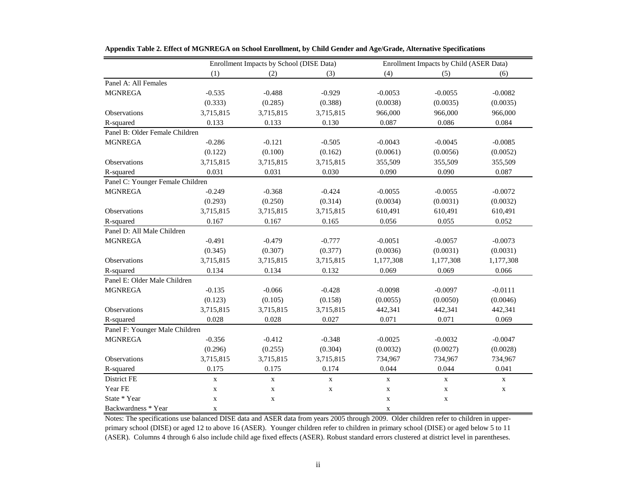|                                  |             | Enrollment Impacts by School (DISE Data) |             |             | Enrollment Impacts by Child (ASER Data) |             |  |  |
|----------------------------------|-------------|------------------------------------------|-------------|-------------|-----------------------------------------|-------------|--|--|
|                                  | (1)         | (2)                                      | (3)         | (4)         | (5)                                     | (6)         |  |  |
| Panel A: All Females             |             |                                          |             |             |                                         |             |  |  |
| <b>MGNREGA</b>                   | $-0.535$    | $-0.488$                                 | $-0.929$    | $-0.0053$   | $-0.0055$                               | $-0.0082$   |  |  |
|                                  | (0.333)     | (0.285)                                  | (0.388)     | (0.0038)    | (0.0035)                                | (0.0035)    |  |  |
| Observations                     | 3,715,815   | 3,715,815                                | 3,715,815   | 966,000     | 966,000                                 | 966,000     |  |  |
| R-squared                        | 0.133       | 0.133                                    | 0.130       | 0.087       | 0.086                                   | 0.084       |  |  |
| Panel B: Older Female Children   |             |                                          |             |             |                                         |             |  |  |
| <b>MGNREGA</b>                   | $-0.286$    | $-0.121$                                 | $-0.505$    | $-0.0043$   | $-0.0045$                               | $-0.0085$   |  |  |
|                                  | (0.122)     | (0.100)                                  | (0.162)     | (0.0061)    | (0.0056)                                | (0.0052)    |  |  |
| Observations                     | 3,715,815   | 3,715,815                                | 3,715,815   | 355,509     | 355,509                                 | 355,509     |  |  |
| R-squared                        | 0.031       | 0.031                                    | 0.030       | 0.090       | 0.090                                   | 0.087       |  |  |
| Panel C: Younger Female Children |             |                                          |             |             |                                         |             |  |  |
| <b>MGNREGA</b>                   | $-0.249$    | $-0.368$                                 | $-0.424$    | $-0.0055$   | $-0.0055$                               | $-0.0072$   |  |  |
|                                  | (0.293)     | (0.250)                                  | (0.314)     | (0.0034)    | (0.0031)                                | (0.0032)    |  |  |
| Observations                     | 3,715,815   | 3,715,815                                | 3,715,815   | 610,491     | 610,491                                 | 610,491     |  |  |
| R-squared                        | 0.167       | 0.167                                    | 0.165       | 0.056       | 0.055                                   | 0.052       |  |  |
| Panel D: All Male Children       |             |                                          |             |             |                                         |             |  |  |
| <b>MGNREGA</b>                   | $-0.491$    | $-0.479$                                 | $-0.777$    | $-0.0051$   | $-0.0057$                               | $-0.0073$   |  |  |
|                                  | (0.345)     | (0.307)                                  | (0.377)     | (0.0036)    | (0.0031)                                | (0.0031)    |  |  |
| Observations                     | 3,715,815   | 3,715,815                                | 3,715,815   | 1,177,308   | 1,177,308                               | 1,177,308   |  |  |
| R-squared                        | 0.134       | 0.134                                    | 0.132       | 0.069       | 0.069                                   | 0.066       |  |  |
| Panel E: Older Male Children     |             |                                          |             |             |                                         |             |  |  |
| <b>MGNREGA</b>                   | $-0.135$    | $-0.066$                                 | $-0.428$    | $-0.0098$   | $-0.0097$                               | $-0.0111$   |  |  |
|                                  | (0.123)     | (0.105)                                  | (0.158)     | (0.0055)    | (0.0050)                                | (0.0046)    |  |  |
| Observations                     | 3,715,815   | 3,715,815                                | 3,715,815   | 442,341     | 442,341                                 | 442,341     |  |  |
| R-squared                        | 0.028       | 0.028                                    | 0.027       | 0.071       | 0.071                                   | 0.069       |  |  |
| Panel F: Younger Male Children   |             |                                          |             |             |                                         |             |  |  |
| <b>MGNREGA</b>                   | $-0.356$    | $-0.412$                                 | $-0.348$    | $-0.0025$   | $-0.0032$                               | $-0.0047$   |  |  |
|                                  | (0.296)     | (0.255)                                  | (0.304)     | (0.0032)    | (0.0027)                                | (0.0028)    |  |  |
| Observations                     | 3,715,815   | 3,715,815                                | 3,715,815   | 734,967     | 734,967                                 | 734,967     |  |  |
| R-squared                        | 0.175       | 0.175                                    | 0.174       | 0.044       | 0.044                                   | 0.041       |  |  |
| District FE                      | $\mathbf X$ | $\mathbf X$                              | $\mathbf X$ | $\mathbf X$ | $\mathbf X$                             | $\mathbf X$ |  |  |
| Year FE                          | $\mathbf X$ | $\mathbf X$                              | $\mathbf X$ | $\mathbf X$ | $\mathbf X$                             | $\mathbf X$ |  |  |
| State * Year                     | $\mathbf X$ | $\mathbf X$                              |             | $\mathbf X$ | $\mathbf X$                             |             |  |  |
| Backwardness * Year              | $\mathbf X$ |                                          |             | $\mathbf X$ |                                         |             |  |  |

**Appendix Table 2. Effect of MGNREGA on School Enrollment, by Child Gender and Age/Grade, Alternative Specifications**

Notes: The specifications use balanced DISE data and ASER data from years 2005 through 2009. Older children refer to children in upperprimary school (DISE) or aged 12 to above 16 (ASER). Younger children refer to children in primary school (DISE) or aged below 5 to 11 (ASER). Columns 4 through 6 also include child age fixed effects (ASER). Robust standard errors clustered at district level in parentheses.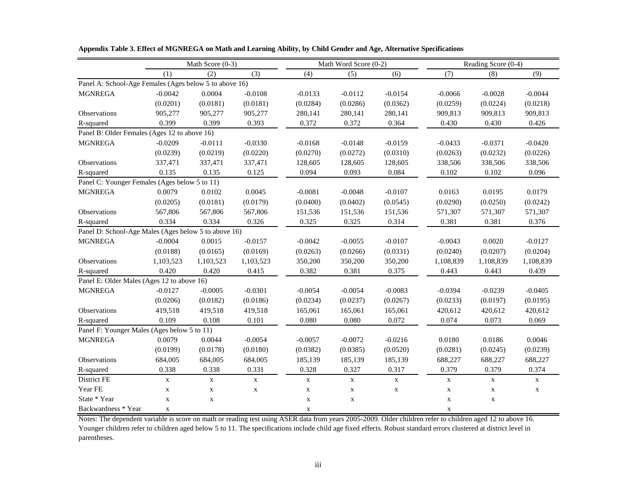|                                                        |             | Math Score (0-3) |             |             | Math Word Score (0-2) |             | Reading Score (0-4) |             |             |
|--------------------------------------------------------|-------------|------------------|-------------|-------------|-----------------------|-------------|---------------------|-------------|-------------|
|                                                        | (1)         | (2)              | (3)         | (4)         | (5)                   | (6)         | (7)                 | (8)         | (9)         |
| Panel A: School-Age Females (Ages below 5 to above 16) |             |                  |             |             |                       |             |                     |             |             |
| <b>MGNREGA</b>                                         | $-0.0042$   | 0.0004           | $-0.0108$   | $-0.0133$   | $-0.0112$             | $-0.0154$   | $-0.0066$           | $-0.0028$   | $-0.0044$   |
|                                                        | (0.0201)    | (0.0181)         | (0.0181)    | (0.0284)    | (0.0286)              | (0.0362)    | (0.0259)            | (0.0224)    | (0.0218)    |
| Observations                                           | 905,277     | 905,277          | 905,277     | 280,141     | 280,141               | 280,141     | 909,813             | 909,813     | 909,813     |
| R-squared                                              | 0.399       | 0.399            | 0.393       | 0.372       | 0.372                 | 0.364       | 0.430               | 0.430       | 0.426       |
| Panel B: Older Females (Ages 12 to above 16)           |             |                  |             |             |                       |             |                     |             |             |
| <b>MGNREGA</b>                                         | $-0.0209$   | $-0.0111$        | $-0.0330$   | $-0.0168$   | $-0.0148$             | $-0.0159$   | $-0.0433$           | $-0.0371$   | $-0.0420$   |
|                                                        | (0.0239)    | (0.0219)         | (0.0220)    | (0.0270)    | (0.0272)              | (0.0310)    | (0.0263)            | (0.0232)    | (0.0226)    |
| Observations                                           | 337,471     | 337,471          | 337,471     | 128,605     | 128,605               | 128,605     | 338,506             | 338,506     | 338,506     |
| R-squared                                              | 0.135       | 0.135            | 0.125       | 0.094       | 0.093                 | 0.084       | 0.102               | 0.102       | 0.096       |
| Panel C: Younger Females (Ages below 5 to 11)          |             |                  |             |             |                       |             |                     |             |             |
| <b>MGNREGA</b>                                         | 0.0079      | 0.0102           | 0.0045      | $-0.0081$   | $-0.0048$             | $-0.0107$   | 0.0163              | 0.0195      | 0.0179      |
|                                                        | (0.0205)    | (0.0181)         | (0.0179)    | (0.0400)    | (0.0402)              | (0.0545)    | (0.0290)            | (0.0250)    | (0.0242)    |
| Observations                                           | 567,806     | 567,806          | 567,806     | 151,536     | 151,536               | 151,536     | 571,307             | 571,307     | 571,307     |
| R-squared                                              | 0.334       | 0.334            | 0.326       | 0.325       | 0.325                 | 0.314       | 0.381               | 0.381       | 0.376       |
| Panel D: School-Age Males (Ages below 5 to above 16)   |             |                  |             |             |                       |             |                     |             |             |
| <b>MGNREGA</b>                                         | $-0.0004$   | 0.0015           | $-0.0157$   | $-0.0042$   | $-0.0055$             | $-0.0107$   | $-0.0043$           | 0.0020      | $-0.0127$   |
|                                                        | (0.0188)    | (0.0165)         | (0.0169)    | (0.0263)    | (0.0266)              | (0.0331)    | (0.0240)            | (0.0207)    | (0.0204)    |
| Observations                                           | 1,103,523   | 1,103,523        | 1,103,523   | 350,200     | 350,200               | 350,200     | 1,108,839           | 1,108,839   | 1,108,839   |
| R-squared                                              | 0.420       | 0.420            | 0.415       | 0.382       | 0.381                 | 0.375       | 0.443               | 0.443       | 0.439       |
| Panel E: Older Males (Ages 12 to above 16)             |             |                  |             |             |                       |             |                     |             |             |
| <b>MGNREGA</b>                                         | $-0.0127$   | $-0.0005$        | $-0.0301$   | $-0.0054$   | $-0.0054$             | $-0.0083$   | $-0.0394$           | $-0.0239$   | $-0.0405$   |
|                                                        | (0.0206)    | (0.0182)         | (0.0186)    | (0.0234)    | (0.0237)              | (0.0267)    | (0.0233)            | (0.0197)    | (0.0195)    |
| Observations                                           | 419,518     | 419,518          | 419,518     | 165,061     | 165,061               | 165,061     | 420,612             | 420,612     | 420,612     |
| R-squared                                              | 0.109       | 0.108            | 0.101       | 0.080       | 0.080                 | 0.072       | 0.074               | 0.073       | 0.069       |
| Panel F: Younger Males (Ages below 5 to 11)            |             |                  |             |             |                       |             |                     |             |             |
| <b>MGNREGA</b>                                         | 0.0079      | 0.0044           | $-0.0054$   | $-0.0057$   | $-0.0072$             | $-0.0216$   | 0.0180              | 0.0186      | 0.0046      |
|                                                        | (0.0199)    | (0.0178)         | (0.0180)    | (0.0382)    | (0.0385)              | (0.0520)    | (0.0281)            | (0.0245)    | (0.0239)    |
| Observations                                           | 684,005     | 684,005          | 684,005     | 185,139     | 185,139               | 185,139     | 688,227             | 688,227     | 688,227     |
| R-squared                                              | 0.338       | 0.338            | 0.331       | 0.328       | 0.327                 | 0.317       | 0.379               | 0.379       | 0.374       |
| District FE                                            | $\mathbf X$ | $\mathbf X$      | $\mathbf X$ | $\mathbf X$ | $\mathbf X$           | $\mathbf X$ | $\mathbf X$         | $\mathbf X$ | $\mathbf X$ |
| Year FE                                                | $\mathbf X$ | $\mathbf X$      | $\mathbf X$ | $\mathbf X$ | $\mathbf X$           | $\mathbf X$ | $\mathbf X$         | $\mathbf X$ | $\mathbf X$ |
| State * Year                                           | $\mathbf X$ | $\mathbf X$      |             | $\mathbf X$ | $\mathbf X$           |             | $\mathbf X$         | $\mathbf X$ |             |
| Backwardness * Year                                    | X           |                  |             | X           |                       |             | X                   |             |             |

**Appendix Table 3. Effect of MGNREGA on Math and Learning Ability, by Child Gender and Age, Alternative Specifications**

Notes: The dependent variable is score on math or reading test using ASER data from years 2005-2009. Older children refer to children aged 12 to above 16. Younger children refer to children aged below 5 to 11. The specifications include child age fixed effects. Robust standard errors clustered at district level in parentheses.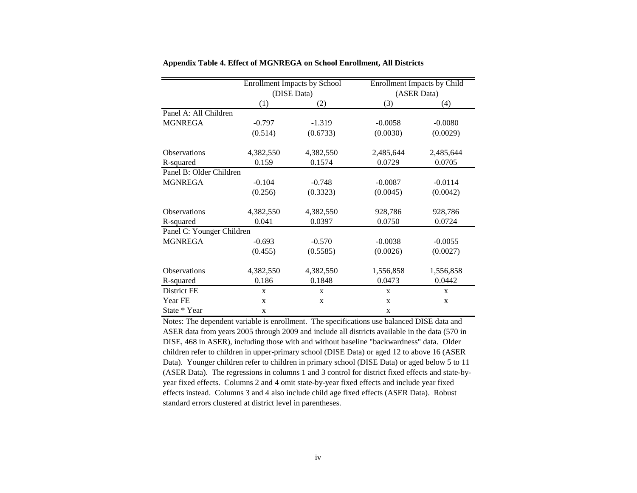|                           |           | <b>Enrollment Impacts by School</b> | <b>Enrollment Impacts by Child</b> |             |  |  |
|---------------------------|-----------|-------------------------------------|------------------------------------|-------------|--|--|
|                           |           | (DISE Data)                         | (ASER Data)                        |             |  |  |
|                           | (1)       | (2)                                 | (3)                                | (4)         |  |  |
| Panel A: All Children     |           |                                     |                                    |             |  |  |
| <b>MGNREGA</b>            | $-0.797$  | $-1.319$                            | $-0.0058$                          | $-0.0080$   |  |  |
|                           | (0.514)   | (0.6733)                            | (0.0030)                           | (0.0029)    |  |  |
| <b>Observations</b>       | 4,382,550 | 4,382,550                           | 2,485,644                          | 2,485,644   |  |  |
| R-squared                 | 0.159     | 0.1574                              | 0.0729                             | 0.0705      |  |  |
| Panel B: Older Children   |           |                                     |                                    |             |  |  |
| <b>MGNREGA</b>            | $-0.104$  | $-0.748$                            | $-0.0087$                          | $-0.0114$   |  |  |
|                           | (0.256)   | (0.3323)                            | (0.0045)                           | (0.0042)    |  |  |
| <b>Observations</b>       | 4,382,550 | 4,382,550                           | 928,786                            | 928,786     |  |  |
| R-squared                 | 0.041     | 0.0397                              | 0.0750                             | 0.0724      |  |  |
| Panel C: Younger Children |           |                                     |                                    |             |  |  |
| <b>MGNREGA</b>            | $-0.693$  | $-0.570$                            | $-0.0038$                          | $-0.0055$   |  |  |
|                           | (0.455)   | (0.5585)                            | (0.0026)                           | (0.0027)    |  |  |
| <b>Observations</b>       | 4,382,550 | 4,382,550                           | 1,556,858                          | 1,556,858   |  |  |
| R-squared                 | 0.186     | 0.1848                              | 0.0473                             | 0.0442      |  |  |
| District FE               | X         | X                                   | $\mathbf{X}$                       | X           |  |  |
| Year FE                   | X         | $\mathbf X$                         | X                                  | $\mathbf X$ |  |  |
| State * Year              | X         |                                     | X                                  |             |  |  |

### **Appendix Table 4. Effect of MGNREGA on School Enrollment, All Districts**

Notes: The dependent variable is enrollment. The specifications use balanced DISE data and ASER data from years 2005 through 2009 and include all districts available in the data (570 in DISE, 468 in ASER), including those with and without baseline "backwardness" data. Older children refer to children in upper-primary school (DISE Data) or aged 12 to above 16 (ASER Data). Younger children refer to children in primary school (DISE Data) or aged below 5 to 11 (ASER Data). The regressions in columns 1 and 3 control for district fixed effects and state-byyear fixed effects. Columns 2 and 4 omit state-by-year fixed effects and include year fixed effects instead. Columns 3 and 4 also include child age fixed effects (ASER Data). Robust standard errors clustered at district level in parentheses.